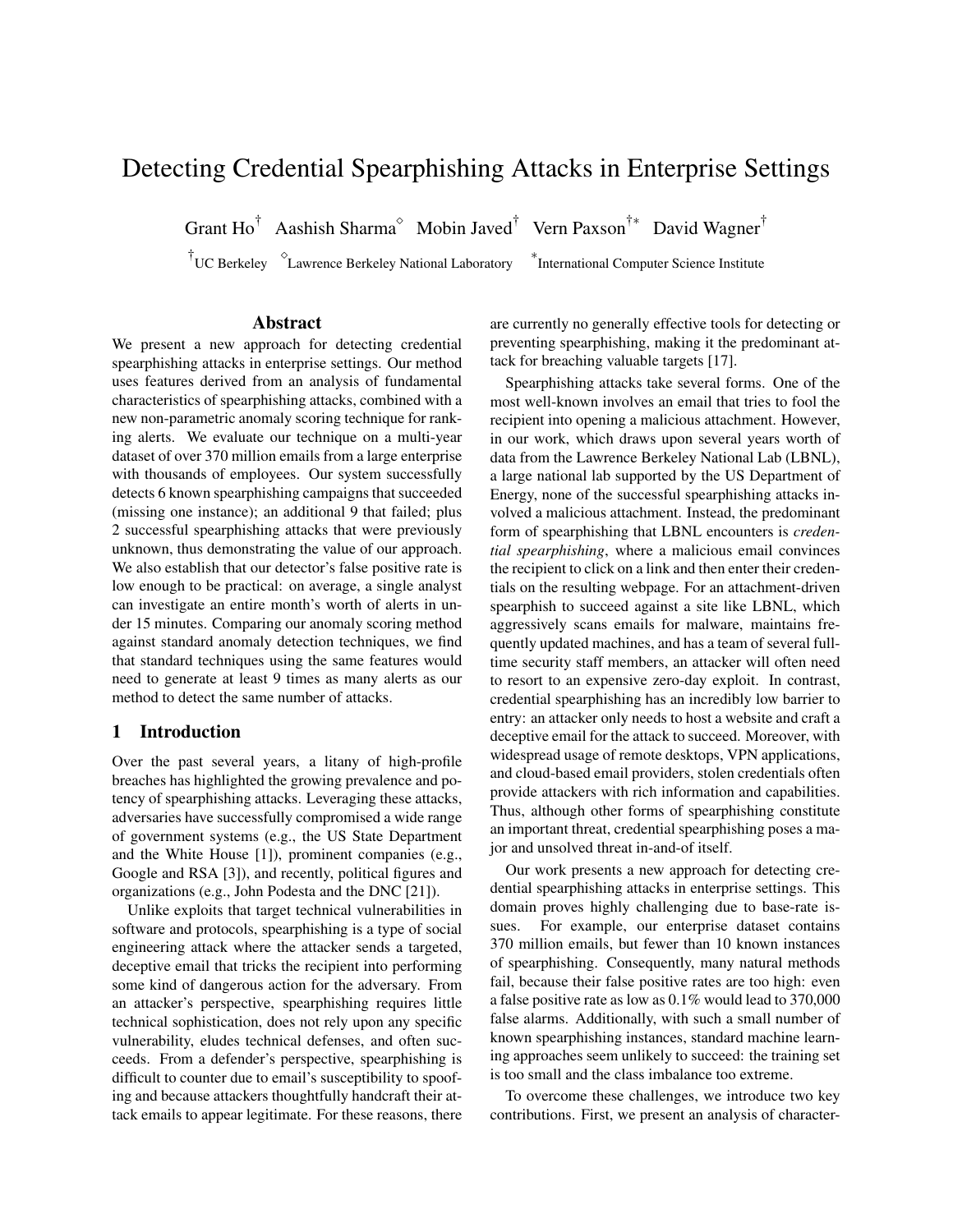# Detecting Credential Spearphishing Attacks in Enterprise Settings

Grant Ho<sup>†</sup> Aashish Sharma<sup> $\circ$ </sup> Mobin Javed<sup>†</sup> Vern Paxson<sup>†\*</sup> David Wagner<sup>†</sup>

† UC Berkeley Lawrence Berkeley National Laboratory <sup>∗</sup>

International Computer Science Institute

### Abstract

We present a new approach for detecting credential spearphishing attacks in enterprise settings. Our method uses features derived from an analysis of fundamental characteristics of spearphishing attacks, combined with a new non-parametric anomaly scoring technique for ranking alerts. We evaluate our technique on a multi-year dataset of over 370 million emails from a large enterprise with thousands of employees. Our system successfully detects 6 known spearphishing campaigns that succeeded (missing one instance); an additional 9 that failed; plus 2 successful spearphishing attacks that were previously unknown, thus demonstrating the value of our approach. We also establish that our detector's false positive rate is low enough to be practical: on average, a single analyst can investigate an entire month's worth of alerts in under 15 minutes. Comparing our anomaly scoring method against standard anomaly detection techniques, we find that standard techniques using the same features would need to generate at least 9 times as many alerts as our method to detect the same number of attacks.

### 1 Introduction

Over the past several years, a litany of high-profile breaches has highlighted the growing prevalence and potency of spearphishing attacks. Leveraging these attacks, adversaries have successfully compromised a wide range of government systems (e.g., the US State Department and the White House [1]), prominent companies (e.g., Google and RSA [3]), and recently, political figures and organizations (e.g., John Podesta and the DNC [21]).

Unlike exploits that target technical vulnerabilities in software and protocols, spearphishing is a type of social engineering attack where the attacker sends a targeted, deceptive email that tricks the recipient into performing some kind of dangerous action for the adversary. From an attacker's perspective, spearphishing requires little technical sophistication, does not rely upon any specific vulnerability, eludes technical defenses, and often succeeds. From a defender's perspective, spearphishing is difficult to counter due to email's susceptibility to spoofing and because attackers thoughtfully handcraft their attack emails to appear legitimate. For these reasons, there are currently no generally effective tools for detecting or preventing spearphishing, making it the predominant attack for breaching valuable targets [17].

Spearphishing attacks take several forms. One of the most well-known involves an email that tries to fool the recipient into opening a malicious attachment. However, in our work, which draws upon several years worth of data from the Lawrence Berkeley National Lab (LBNL), a large national lab supported by the US Department of Energy, none of the successful spearphishing attacks involved a malicious attachment. Instead, the predominant form of spearphishing that LBNL encounters is *credential spearphishing*, where a malicious email convinces the recipient to click on a link and then enter their credentials on the resulting webpage. For an attachment-driven spearphish to succeed against a site like LBNL, which aggressively scans emails for malware, maintains frequently updated machines, and has a team of several fulltime security staff members, an attacker will often need to resort to an expensive zero-day exploit. In contrast, credential spearphishing has an incredibly low barrier to entry: an attacker only needs to host a website and craft a deceptive email for the attack to succeed. Moreover, with widespread usage of remote desktops, VPN applications, and cloud-based email providers, stolen credentials often provide attackers with rich information and capabilities. Thus, although other forms of spearphishing constitute an important threat, credential spearphishing poses a major and unsolved threat in-and-of itself.

Our work presents a new approach for detecting credential spearphishing attacks in enterprise settings. This domain proves highly challenging due to base-rate issues. For example, our enterprise dataset contains 370 million emails, but fewer than 10 known instances of spearphishing. Consequently, many natural methods fail, because their false positive rates are too high: even a false positive rate as low as 0.1% would lead to 370,000 false alarms. Additionally, with such a small number of known spearphishing instances, standard machine learning approaches seem unlikely to succeed: the training set is too small and the class imbalance too extreme.

To overcome these challenges, we introduce two key contributions. First, we present an analysis of character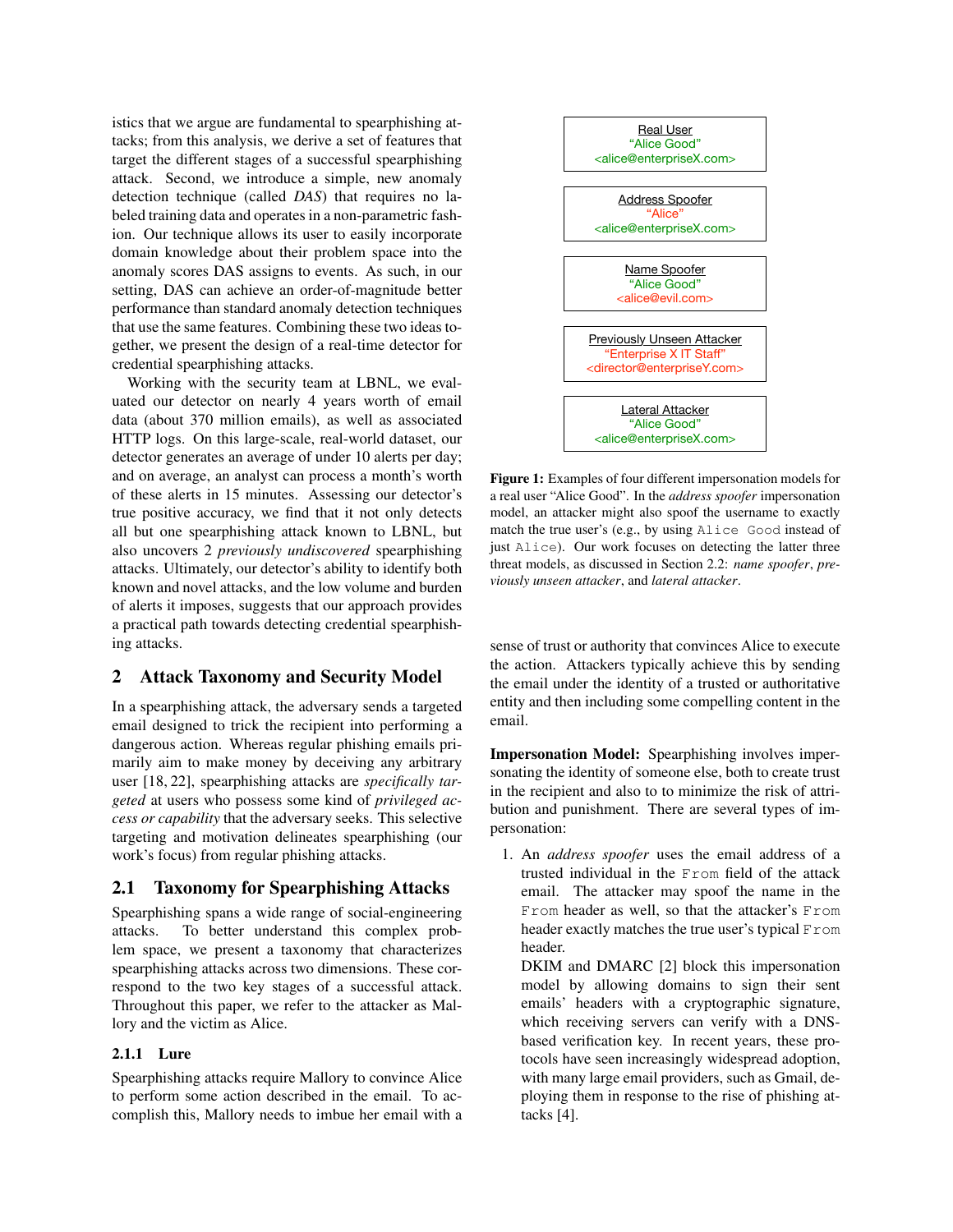istics that we argue are fundamental to spearphishing attacks; from this analysis, we derive a set of features that target the different stages of a successful spearphishing attack. Second, we introduce a simple, new anomaly detection technique (called *DAS*) that requires no labeled training data and operates in a non-parametric fashion. Our technique allows its user to easily incorporate domain knowledge about their problem space into the anomaly scores DAS assigns to events. As such, in our setting, DAS can achieve an order-of-magnitude better performance than standard anomaly detection techniques that use the same features. Combining these two ideas together, we present the design of a real-time detector for credential spearphishing attacks.

Working with the security team at LBNL, we evaluated our detector on nearly 4 years worth of email data (about 370 million emails), as well as associated HTTP logs. On this large-scale, real-world dataset, our detector generates an average of under 10 alerts per day; and on average, an analyst can process a month's worth of these alerts in 15 minutes. Assessing our detector's true positive accuracy, we find that it not only detects all but one spearphishing attack known to LBNL, but also uncovers 2 *previously undiscovered* spearphishing attacks. Ultimately, our detector's ability to identify both known and novel attacks, and the low volume and burden of alerts it imposes, suggests that our approach provides a practical path towards detecting credential spearphishing attacks. gentre, we present the design of a real-line detector for<br>
creduction spectralial specified with the security team at LBNL, we con-<br>
used our detector on meanly that a SRS consider a second that down is the security team

### 2 Attack Taxonomy and Security Model

In a spearphishing attack, the adversary sends a targeted email designed to trick the recipient into performing a dangerous action. Whereas regular phishing emails primarily aim to make money by deceiving any arbitrary user [18, 22], spearphishing attacks are *specifically targeted* at users who possess some kind of *privileged access or capability* that the adversary seeks. This selective targeting and motivation delineates spearphishing (our work's focus) from regular phishing attacks.

### 2.1 Taxonomy for Spearphishing Attacks

Spearphishing spans a wide range of social-engineering attacks. To better understand this complex problem space, we present a taxonomy that characterizes spearphishing attacks across two dimensions. These correspond to the two key stages of a successful attack. Throughout this paper, we refer to the attacker as Mallory and the victim as Alice.

#### 2.1.1 Lure

Spearphishing attacks require Mallory to convince Alice to perform some action described in the email. To ac-



Figure 1: Examples of four different impersonation models for a real user "Alice Good". In the *address spoofer* impersonation model, an attacker might also spoof the username to exactly match the true user's (e.g., by using Alice Good instead of just Alice). Our work focuses on detecting the latter three threat models, as discussed in Section 2.2: *name spoofer*, *previously unseen attacker*, and *lateral attacker*.

sense of trust or authority that convinces Alice to execute the action. Attackers typically achieve this by sending the email under the identity of a trusted or authoritative entity and then including some compelling content in the email.

Impersonation Model: Spearphishing involves impersonating the identity of someone else, both to create trust in the recipient and also to to minimize the risk of attribution and punishment. There are several types of impersonation:

1. An *address spoofer* uses the email address of a trusted individual in the From field of the attack email. The attacker may spoof the name in the From header as well, so that the attacker's From header exactly matches the true user's typical From header.

DKIM and DMARC [2] block this impersonation model by allowing domains to sign their sent emails' headers with a cryptographic signature, which receiving servers can verify with a DNSbased verification key. In recent years, these protocols have seen increasingly widespread adoption, with many large email providers, such as Gmail, deploying them in response to the rise of phishing attacks [4].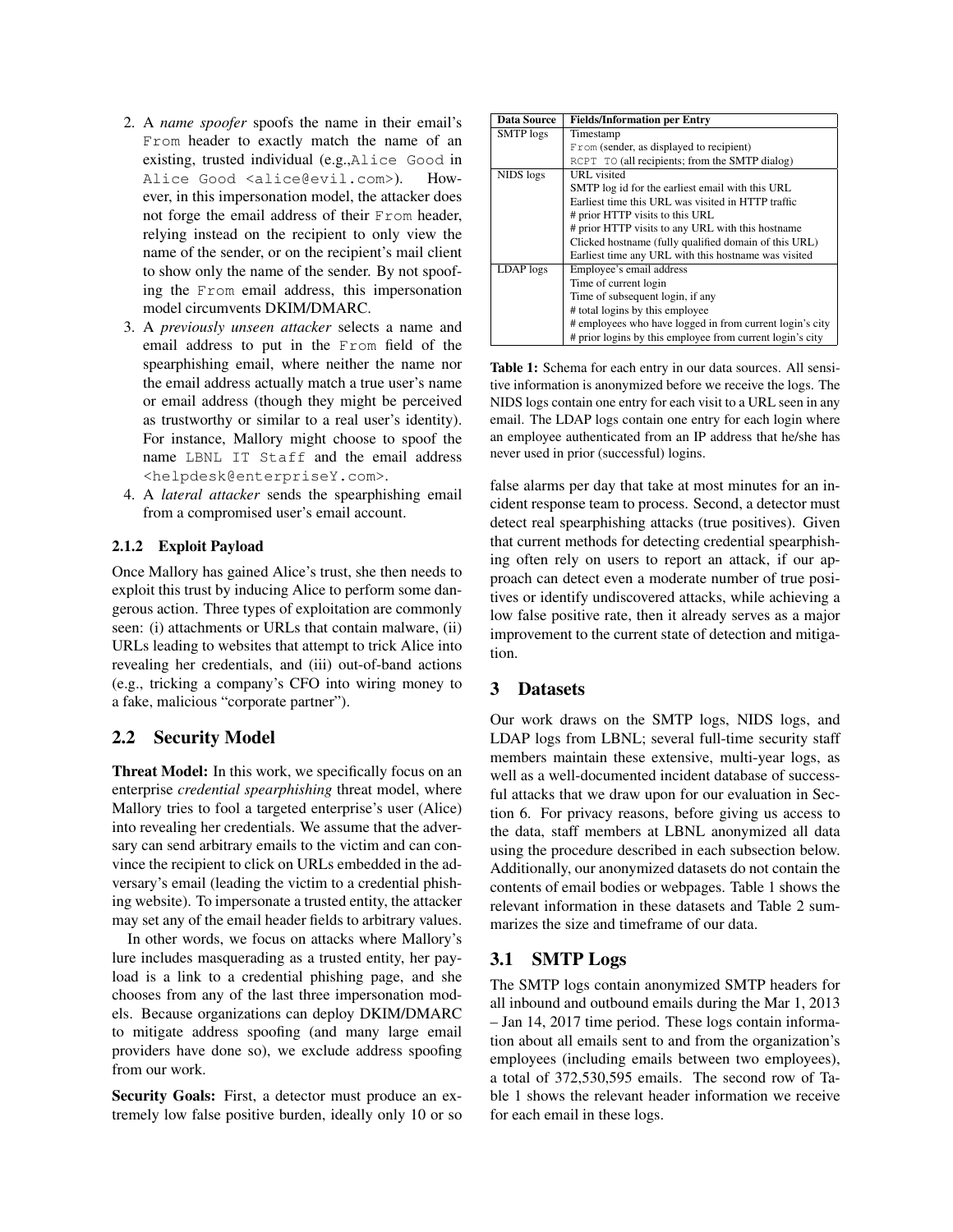- 2. A *name spoofer* spoofs the name in their email's From header to exactly match the name of an existing, trusted individual (e.g.,Alice Good in Alice Good <alice@evil.com>). However, in this impersonation model, the attacker does not forge the email address of their From header, relying instead on the recipient to only view the name of the sender, or on the recipient's mail client to show only the name of the sender. By not spoofing the From email address, this impersonation model circumvents DKIM/DMARC.
- 3. A *previously unseen attacker* selects a name and email address to put in the From field of the spearphishing email, where neither the name nor the email address actually match a true user's name or email address (though they might be perceived as trustworthy or similar to a real user's identity). For instance, Mallory might choose to spoof the name LBNL IT Staff and the email address <helpdesk@enterpriseY.com>.
- 4. A *lateral attacker* sends the spearphishing email from a compromised user's email account.

### 2.1.2 Exploit Payload

Once Mallory has gained Alice's trust, she then needs to exploit this trust by inducing Alice to perform some dangerous action. Three types of exploitation are commonly seen: (i) attachments or URLs that contain malware, (ii) URLs leading to websites that attempt to trick Alice into revealing her credentials, and (iii) out-of-band actions (e.g., tricking a company's CFO into wiring money to a fake, malicious "corporate partner").

### 2.2 Security Model

Threat Model: In this work, we specifically focus on an enterprise *credential spearphishing* threat model, where Mallory tries to fool a targeted enterprise's user (Alice) into revealing her credentials. We assume that the adversary can send arbitrary emails to the victim and can convince the recipient to click on URLs embedded in the adversary's email (leading the victim to a credential phishing website). To impersonate a trusted entity, the attacker may set any of the email header fields to arbitrary values.

In other words, we focus on attacks where Mallory's lure includes masquerading as a trusted entity, her payload is a link to a credential phishing page, and she chooses from any of the last three impersonation models. Because organizations can deploy DKIM/DMARC to mitigate address spoofing (and many large email providers have done so), we exclude address spoofing from our work.

Security Goals: First, a detector must produce an extremely low false positive burden, ideally only 10 or so

| <b>Data Source</b> | <b>Fields/Information per Entry</b>                       |
|--------------------|-----------------------------------------------------------|
| SMTP logs          | Timestamp                                                 |
|                    | From (sender, as displayed to recipient)                  |
|                    | RCPT TO (all recipients; from the SMTP dialog)            |
| NIDS logs          | URL visited                                               |
|                    | SMTP log id for the earliest email with this URL          |
|                    | Earliest time this URL was visited in HTTP traffic        |
|                    | # prior HTTP visits to this URL                           |
|                    | # prior HTTP visits to any URL with this hostname         |
|                    | Clicked hostname (fully qualified domain of this URL)     |
|                    | Earliest time any URL with this hostname was visited      |
| LDAP logs          | Employee's email address                                  |
|                    | Time of current login                                     |
|                    | Time of subsequent login, if any                          |
|                    | # total logins by this employee                           |
|                    | # employees who have logged in from current login's city  |
|                    | # prior logins by this employee from current login's city |

Table 1: Schema for each entry in our data sources. All sensitive information is anonymized before we receive the logs. The NIDS logs contain one entry for each visit to a URL seen in any email. The LDAP logs contain one entry for each login where an employee authenticated from an IP address that he/she has never used in prior (successful) logins.

false alarms per day that take at most minutes for an incident response team to process. Second, a detector must detect real spearphishing attacks (true positives). Given that current methods for detecting credential spearphishing often rely on users to report an attack, if our approach can detect even a moderate number of true positives or identify undiscovered attacks, while achieving a low false positive rate, then it already serves as a major improvement to the current state of detection and mitigation.

### 3 Datasets

Our work draws on the SMTP logs, NIDS logs, and LDAP logs from LBNL; several full-time security staff members maintain these extensive, multi-year logs, as well as a well-documented incident database of successful attacks that we draw upon for our evaluation in Section 6. For privacy reasons, before giving us access to the data, staff members at LBNL anonymized all data using the procedure described in each subsection below. Additionally, our anonymized datasets do not contain the contents of email bodies or webpages. Table 1 shows the relevant information in these datasets and Table 2 summarizes the size and timeframe of our data.

### 3.1 SMTP Logs

The SMTP logs contain anonymized SMTP headers for all inbound and outbound emails during the Mar 1, 2013 – Jan 14, 2017 time period. These logs contain information about all emails sent to and from the organization's employees (including emails between two employees), a total of 372,530,595 emails. The second row of Table 1 shows the relevant header information we receive for each email in these logs.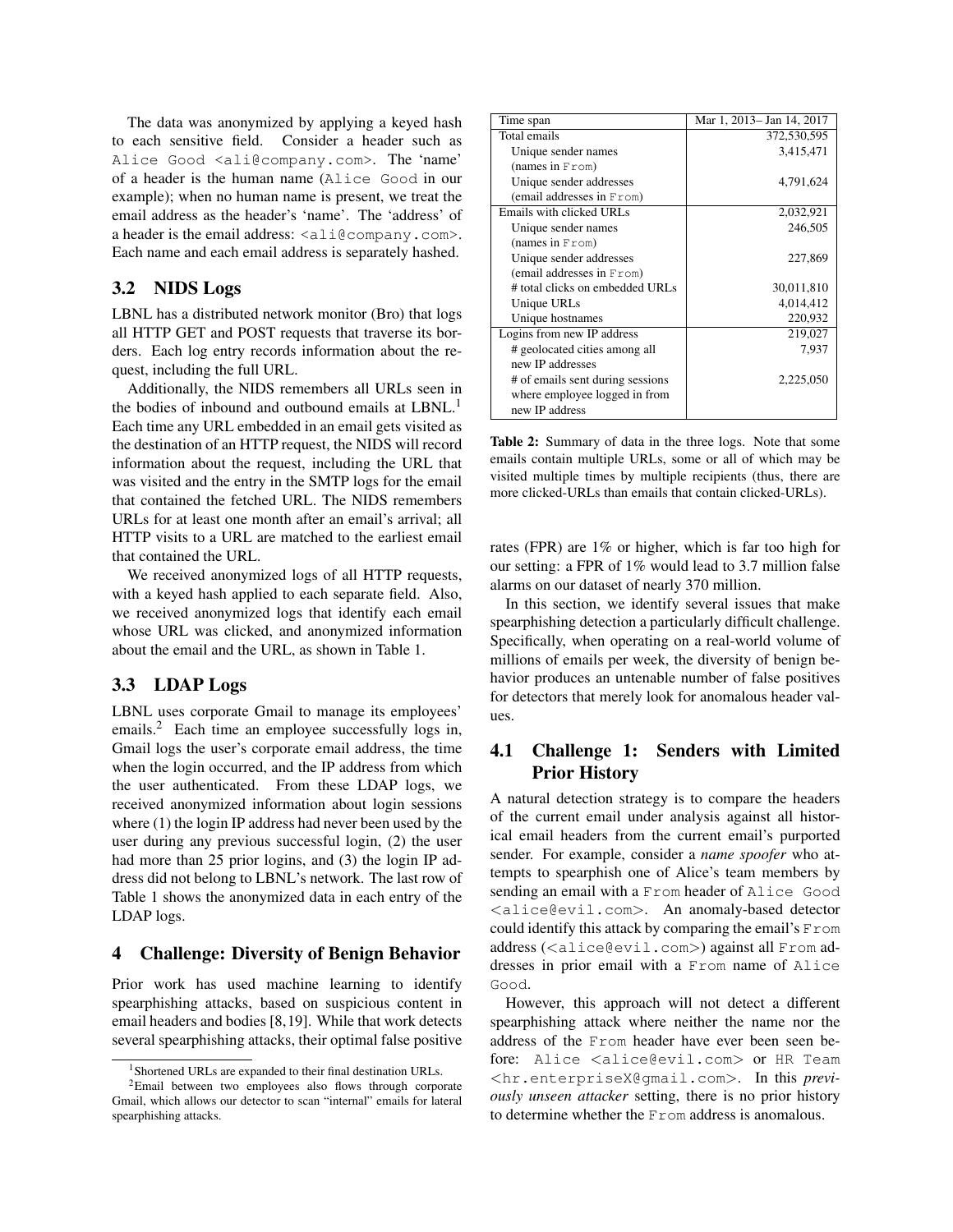The data was anonymized by applying a keyed hash to each sensitive field. Consider a header such as Alice Good <ali@company.com>. The 'name' of a header is the human name (Alice Good in our example); when no human name is present, we treat the email address as the header's 'name'. The 'address' of a header is the email address:  $\langle \text{align} \rangle$ .com>. Each name and each email address is separately hashed.

### 3.2 NIDS Logs

LBNL has a distributed network monitor (Bro) that logs all HTTP GET and POST requests that traverse its borders. Each log entry records information about the request, including the full URL.

Additionally, the NIDS remembers all URLs seen in the bodies of inbound and outbound emails at LBNL.<sup>1</sup> Each time any URL embedded in an email gets visited as the destination of an HTTP request, the NIDS will record information about the request, including the URL that was visited and the entry in the SMTP logs for the email that contained the fetched URL. The NIDS remembers URLs for at least one month after an email's arrival; all HTTP visits to a URL are matched to the earliest email that contained the URL.

We received anonymized logs of all HTTP requests, with a keyed hash applied to each separate field. Also, we received anonymized logs that identify each email whose URL was clicked, and anonymized information about the email and the URL, as shown in Table 1.

### 3.3 LDAP Logs

LBNL uses corporate Gmail to manage its employees' emails.<sup>2</sup> Each time an employee successfully logs in, Gmail logs the user's corporate email address, the time when the login occurred, and the IP address from which the user authenticated. From these LDAP logs, we received anonymized information about login sessions where (1) the login IP address had never been used by the user during any previous successful login, (2) the user had more than 25 prior logins, and (3) the login IP address did not belong to LBNL's network. The last row of Table 1 shows the anonymized data in each entry of the LDAP logs.

### 4 Challenge: Diversity of Benign Behavior

Prior work has used machine learning to identify spearphishing attacks, based on suspicious content in email headers and bodies [8,19]. While that work detects several spearphishing attacks, their optimal false positive

| Time span                        | Mar 1, 2013– Jan 14, 2017 |
|----------------------------------|---------------------------|
| Total emails                     | 372,530,595               |
| Unique sender names              | 3,415,471                 |
| (names in $From$ )               |                           |
| Unique sender addresses          | 4,791,624                 |
| (email addresses in From)        |                           |
| Emails with clicked URLs         | 2,032,921                 |
| Unique sender names              | 246,505                   |
| (names in From)                  |                           |
| Unique sender addresses          | 227,869                   |
| (email addresses in From)        |                           |
| # total clicks on embedded URLs  | 30,011,810                |
| Unique URLs                      | 4,014,412                 |
| Unique hostnames                 | 220,932                   |
| Logins from new IP address       | 219,027                   |
| # geolocated cities among all    | 7,937                     |
| new IP addresses                 |                           |
| # of emails sent during sessions | 2,225,050                 |
| where employee logged in from    |                           |
| new IP address                   |                           |

Table 2: Summary of data in the three logs. Note that some emails contain multiple URLs, some or all of which may be visited multiple times by multiple recipients (thus, there are more clicked-URLs than emails that contain clicked-URLs).

rates (FPR) are 1% or higher, which is far too high for our setting: a FPR of 1% would lead to 3.7 million false alarms on our dataset of nearly 370 million.

In this section, we identify several issues that make spearphishing detection a particularly difficult challenge. Specifically, when operating on a real-world volume of millions of emails per week, the diversity of benign behavior produces an untenable number of false positives for detectors that merely look for anomalous header values.

### 4.1 Challenge 1: Senders with Limited Prior History

A natural detection strategy is to compare the headers of the current email under analysis against all historical email headers from the current email's purported sender. For example, consider a *name spoofer* who attempts to spearphish one of Alice's team members by sending an email with a From header of Alice Good <alice@evil.com>. An anomaly-based detector could identify this attack by comparing the email's From address (<alice@evil.com>) against all From addresses in prior email with a From name of Alice Good.

However, this approach will not detect a different spearphishing attack where neither the name nor the address of the From header have ever been seen before: Alice <alice@evil.com> or HR Team <hr.enterpriseX@gmail.com>. In this *previously unseen attacker* setting, there is no prior history to determine whether the From address is anomalous.

<sup>&</sup>lt;sup>1</sup>Shortened URLs are expanded to their final destination URLs.

<sup>&</sup>lt;sup>2</sup>Email between two employees also flows through corporate Gmail, which allows our detector to scan "internal" emails for lateral spearphishing attacks.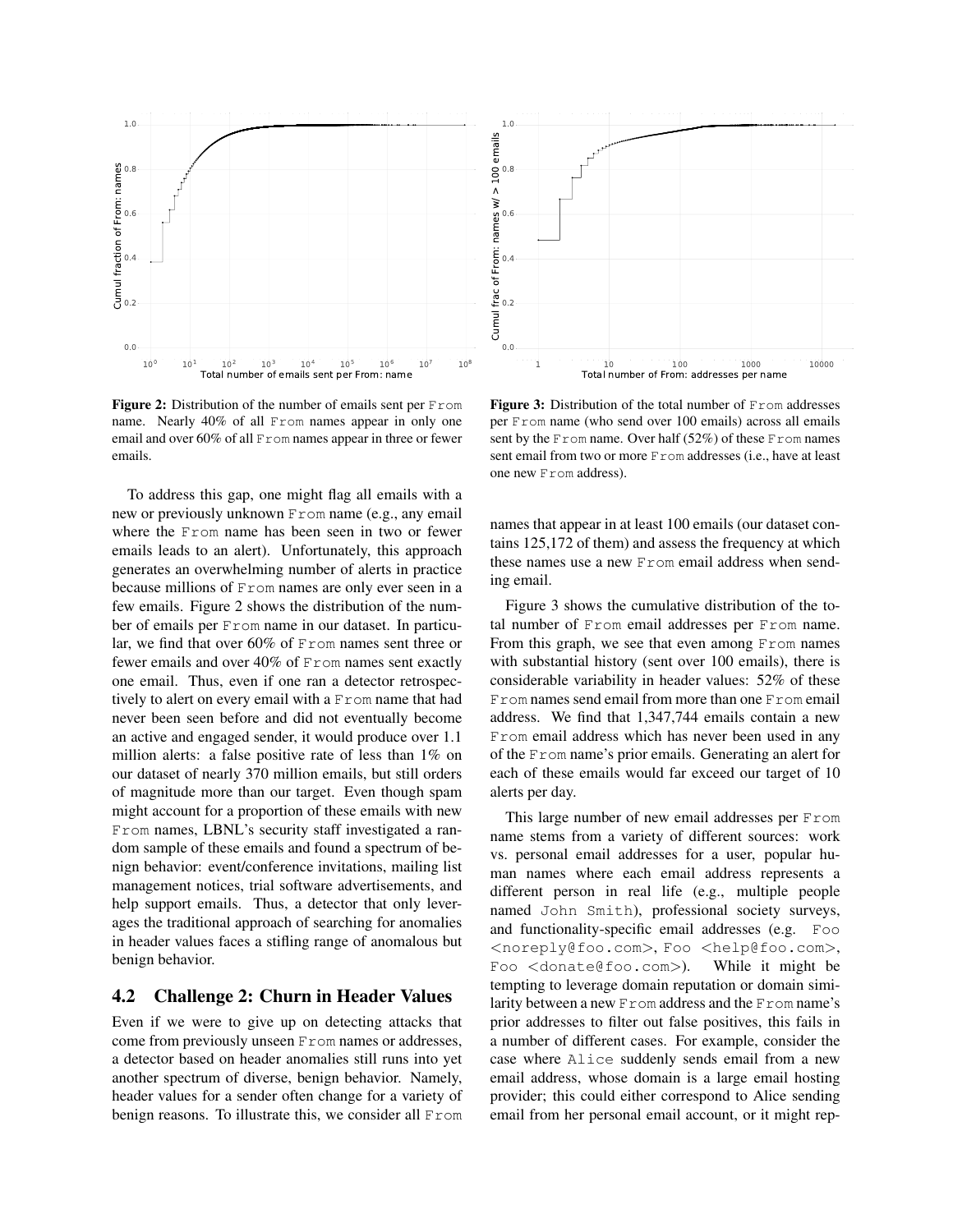

**Figure 2:** Distribution of the number of emails sent per  $F_{\text{rom}}$ name. Nearly 40% of all From names appear in only one email and over 60% of all From names appear in three or fewer emails.

To address this gap, one might flag all emails with a new or previously unknown From name (e.g., any email where the From name has been seen in two or fewer emails leads to an alert). Unfortunately, this approach generates an overwhelming number of alerts in practice because millions of From names are only ever seen in a few emails. Figure 2 shows the distribution of the number of emails per From name in our dataset. In particular, we find that over 60% of From names sent three or fewer emails and over 40% of From names sent exactly one email. Thus, even if one ran a detector retrospectively to alert on every email with a From name that had never been seen before and did not eventually become an active and engaged sender, it would produce over 1.1 million alerts: a false positive rate of less than 1% on our dataset of nearly 370 million emails, but still orders of magnitude more than our target. Even though spam might account for a proportion of these emails with new From names, LBNL's security staff investigated a random sample of these emails and found a spectrum of benign behavior: event/conference invitations, mailing list management notices, trial software advertisements, and help support emails. Thus, a detector that only leverages the traditional approach of searching for anomalies in header values faces a stifling range of anomalous but benign behavior. From the method one of the method one is the property of the state of the method of the state of state all From 1 100 terms of the state of the method of the state of state all From 1 10 terms of the state of the state of

### 4.2 Challenge 2: Churn in Header Values

Even if we were to give up on detecting attacks that come from previously unseen From names or addresses, a detector based on header anomalies still runs into yet another spectrum of diverse, benign behavior. Namely, header values for a sender often change for a variety of



Figure 3: Distribution of the total number of From addresses per From name (who send over 100 emails) across all emails sent by the From name. Over half  $(52\%)$  of these From names sent email from two or more From addresses (i.e., have at least one new From address).

names that appear in at least 100 emails (our dataset contains 125,172 of them) and assess the frequency at which these names use a new From email address when sending email.

Figure 3 shows the cumulative distribution of the total number of From email addresses per From name. From this graph, we see that even among From names with substantial history (sent over 100 emails), there is considerable variability in header values: 52% of these From names send email from more than one From email address. We find that 1,347,744 emails contain a new From email address which has never been used in any of the From name's prior emails. Generating an alert for each of these emails would far exceed our target of 10 alerts per day.

This large number of new email addresses per From name stems from a variety of different sources: work vs. personal email addresses for a user, popular human names where each email address represents a different person in real life (e.g., multiple people named John Smith), professional society surveys, and functionality-specific email addresses (e.g. Foo <noreply@foo.com>, Foo <help@foo.com>, Foo <donate@foo.com>). While it might be tempting to leverage domain reputation or domain similarity between a new From address and the From name's prior addresses to filter out false positives, this fails in a number of different cases. For example, consider the case where Alice suddenly sends email from a new email address, whose domain is a large email hosting provider; this could either correspond to Alice sending email from her personal email account, or it might rep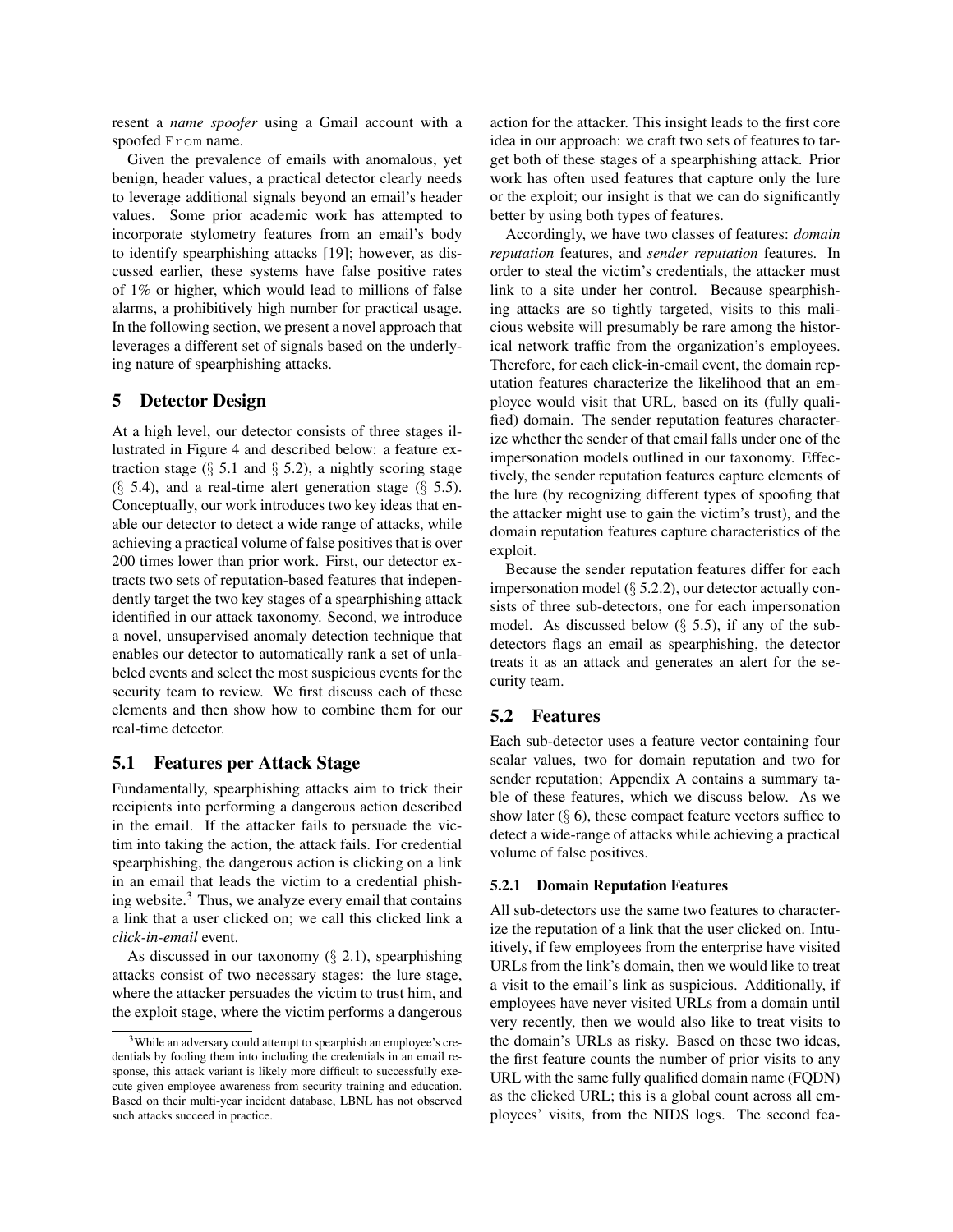resent a *name spoofer* using a Gmail account with a spoofed From name.

Given the prevalence of emails with anomalous, yet benign, header values, a practical detector clearly needs to leverage additional signals beyond an email's header values. Some prior academic work has attempted to incorporate stylometry features from an email's body to identify spearphishing attacks [19]; however, as discussed earlier, these systems have false positive rates of 1% or higher, which would lead to millions of false alarms, a prohibitively high number for practical usage. In the following section, we present a novel approach that leverages a different set of signals based on the underlying nature of spearphishing attacks.

### 5 Detector Design

At a high level, our detector consists of three stages illustrated in Figure 4 and described below: a feature extraction stage ( $\S$  5.1 and  $\S$  5.2), a nightly scoring stage  $(\S$  5.4), and a real-time alert generation stage  $(\S$  5.5). Conceptually, our work introduces two key ideas that enable our detector to detect a wide range of attacks, while achieving a practical volume of false positives that is over 200 times lower than prior work. First, our detector extracts two sets of reputation-based features that independently target the two key stages of a spearphishing attack identified in our attack taxonomy. Second, we introduce a novel, unsupervised anomaly detection technique that enables our detector to automatically rank a set of unlabeled events and select the most suspicious events for the security team to review. We first discuss each of these elements and then show how to combine them for our real-time detector.

### 5.1 Features per Attack Stage

Fundamentally, spearphishing attacks aim to trick their recipients into performing a dangerous action described in the email. If the attacker fails to persuade the victim into taking the action, the attack fails. For credential spearphishing, the dangerous action is clicking on a link in an email that leads the victim to a credential phishing website. $3$  Thus, we analyze every email that contains a link that a user clicked on; we call this clicked link a *click-in-email* event.

As discussed in our taxonomy  $(\S 2.1)$ , spearphishing attacks consist of two necessary stages: the lure stage, where the attacker persuades the victim to trust him, and the exploit stage, where the victim performs a dangerous action for the attacker. This insight leads to the first core idea in our approach: we craft two sets of features to target both of these stages of a spearphishing attack. Prior work has often used features that capture only the lure or the exploit; our insight is that we can do significantly better by using both types of features.

Accordingly, we have two classes of features: *domain reputation* features, and *sender reputation* features. In order to steal the victim's credentials, the attacker must link to a site under her control. Because spearphishing attacks are so tightly targeted, visits to this malicious website will presumably be rare among the historical network traffic from the organization's employees. Therefore, for each click-in-email event, the domain reputation features characterize the likelihood that an employee would visit that URL, based on its (fully qualified) domain. The sender reputation features characterize whether the sender of that email falls under one of the impersonation models outlined in our taxonomy. Effectively, the sender reputation features capture elements of the lure (by recognizing different types of spoofing that the attacker might use to gain the victim's trust), and the domain reputation features capture characteristics of the exploit.

Because the sender reputation features differ for each impersonation model  $(\S$  5.2.2), our detector actually consists of three sub-detectors, one for each impersonation model. As discussed below  $(\S$  5.5), if any of the subdetectors flags an email as spearphishing, the detector treats it as an attack and generates an alert for the security team.

### 5.2 Features

Each sub-detector uses a feature vector containing four scalar values, two for domain reputation and two for sender reputation; Appendix A contains a summary table of these features, which we discuss below. As we show later  $(\S 6)$ , these compact feature vectors suffice to detect a wide-range of attacks while achieving a practical volume of false positives.

#### 5.2.1 Domain Reputation Features

All sub-detectors use the same two features to characterize the reputation of a link that the user clicked on. Intuitively, if few employees from the enterprise have visited URLs from the link's domain, then we would like to treat a visit to the email's link as suspicious. Additionally, if employees have never visited URLs from a domain until very recently, then we would also like to treat visits to the domain's URLs as risky. Based on these two ideas, the first feature counts the number of prior visits to any URL with the same fully qualified domain name (FQDN) as the clicked URL; this is a global count across all employees' visits, from the NIDS logs. The second fea-

<sup>&</sup>lt;sup>3</sup>While an adversary could attempt to spearphish an employee's credentials by fooling them into including the credentials in an email response, this attack variant is likely more difficult to successfully execute given employee awareness from security training and education. Based on their multi-year incident database, LBNL has not observed such attacks succeed in practice.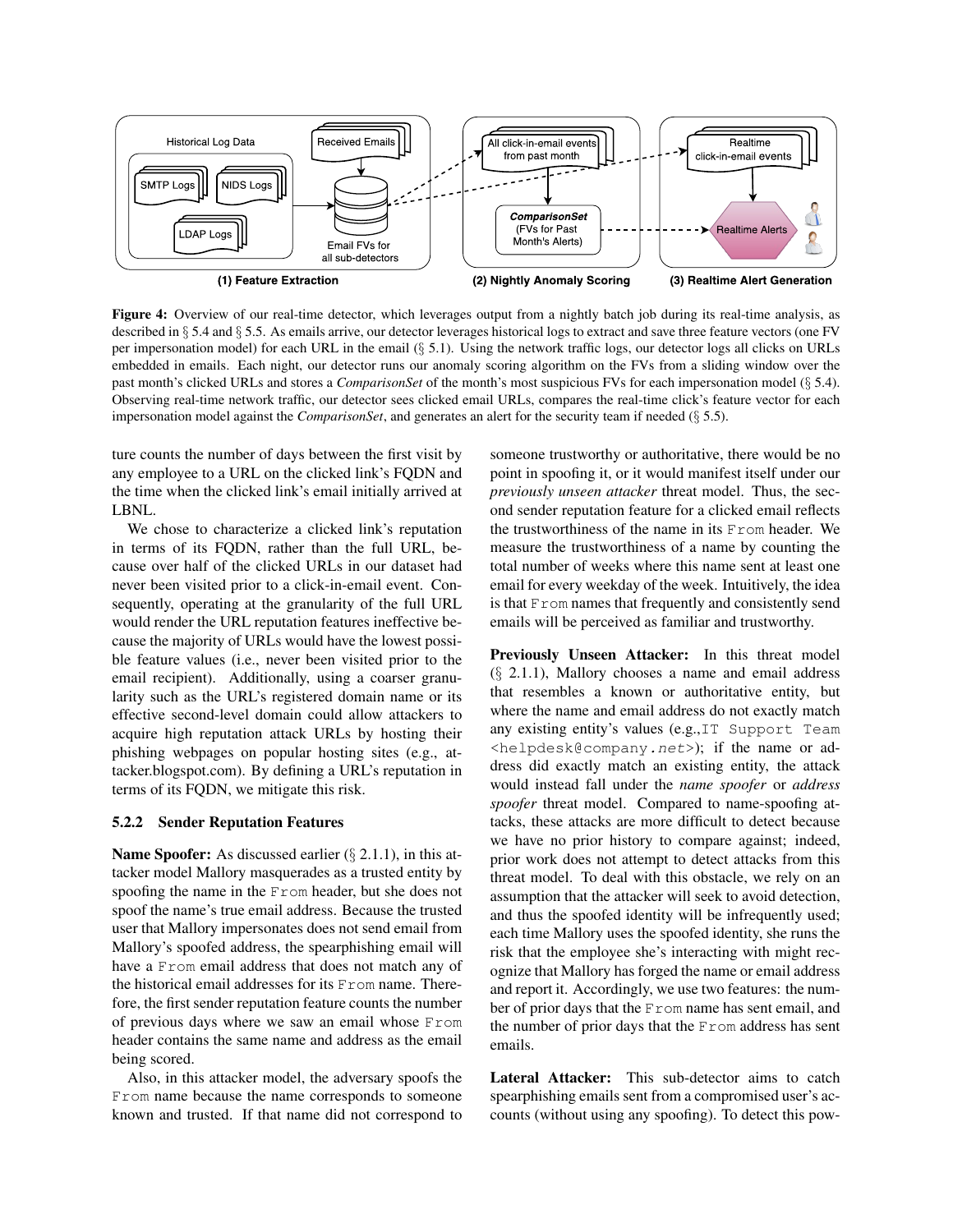

Figure 4: Overview of our real-time detector, which leverages output from a nightly batch job during its real-time analysis, as described in § 5.4 and § 5.5. As emails arrive, our detector leverages historical logs to extract and save three feature vectors (one FV per impersonation model) for each URL in the email (§ 5.1). Using the network traffic logs, our detector logs all clicks on URLs embedded in emails. Each night, our detector runs our anomaly scoring algorithm on the FVs from a sliding window over the past month's clicked URLs and stores a *ComparisonSet* of the month's most suspicious FVs for each impersonation model (§ 5.4). Observing real-time network traffic, our detector sees clicked email URLs, compares the real-time click's feature vector for each impersonation model against the *ComparisonSet*, and generates an alert for the security team if needed (§ 5.5).

ture counts the number of days between the first visit by any employee to a URL on the clicked link's FQDN and the time when the clicked link's email initially arrived at LBNL.

We chose to characterize a clicked link's reputation in terms of its FQDN, rather than the full URL, because over half of the clicked URLs in our dataset had never been visited prior to a click-in-email event. Consequently, operating at the granularity of the full URL would render the URL reputation features ineffective because the majority of URLs would have the lowest possible feature values (i.e., never been visited prior to the email recipient). Additionally, using a coarser granularity such as the URL's registered domain name or its effective second-level domain could allow attackers to acquire high reputation attack URLs by hosting their phishing webpages on popular hosting sites (e.g., attacker.blogspot.com). By defining a URL's reputation in terms of its FQDN, we mitigate this risk.

#### 5.2.2 Sender Reputation Features

Name Spoofer: As discussed earlier (§ 2.1.1), in this attacker model Mallory masquerades as a trusted entity by spoofing the name in the From header, but she does not spoof the name's true email address. Because the trusted user that Mallory impersonates does not send email from Mallory's spoofed address, the spearphishing email will have a From email address that does not match any of the historical email addresses for its From name. Therefore, the first sender reputation feature counts the number of previous days where we saw an email whose From header contains the same name and address as the email being scored.

Also, in this attacker model, the adversary spoofs the From name because the name corresponds to someone known and trusted. If that name did not correspond to someone trustworthy or authoritative, there would be no point in spoofing it, or it would manifest itself under our *previously unseen attacker* threat model. Thus, the second sender reputation feature for a clicked email reflects the trustworthiness of the name in its From header. We measure the trustworthiness of a name by counting the total number of weeks where this name sent at least one email for every weekday of the week. Intuitively, the idea is that From names that frequently and consistently send emails will be perceived as familiar and trustworthy.

Previously Unseen Attacker: In this threat model (§ 2.1.1), Mallory chooses a name and email address that resembles a known or authoritative entity, but where the name and email address do not exactly match any existing entity's values (e.g.,IT Support Team <helpdesk@company.net>); if the name or address did exactly match an existing entity, the attack would instead fall under the *name spoofer* or *address spoofer* threat model. Compared to name-spoofing attacks, these attacks are more difficult to detect because we have no prior history to compare against; indeed, prior work does not attempt to detect attacks from this threat model. To deal with this obstacle, we rely on an assumption that the attacker will seek to avoid detection, and thus the spoofed identity will be infrequently used; each time Mallory uses the spoofed identity, she runs the risk that the employee she's interacting with might recognize that Mallory has forged the name or email address and report it. Accordingly, we use two features: the number of prior days that the From name has sent email, and the number of prior days that the From address has sent emails.

Lateral Attacker: This sub-detector aims to catch spearphishing emails sent from a compromised user's accounts (without using any spoofing). To detect this pow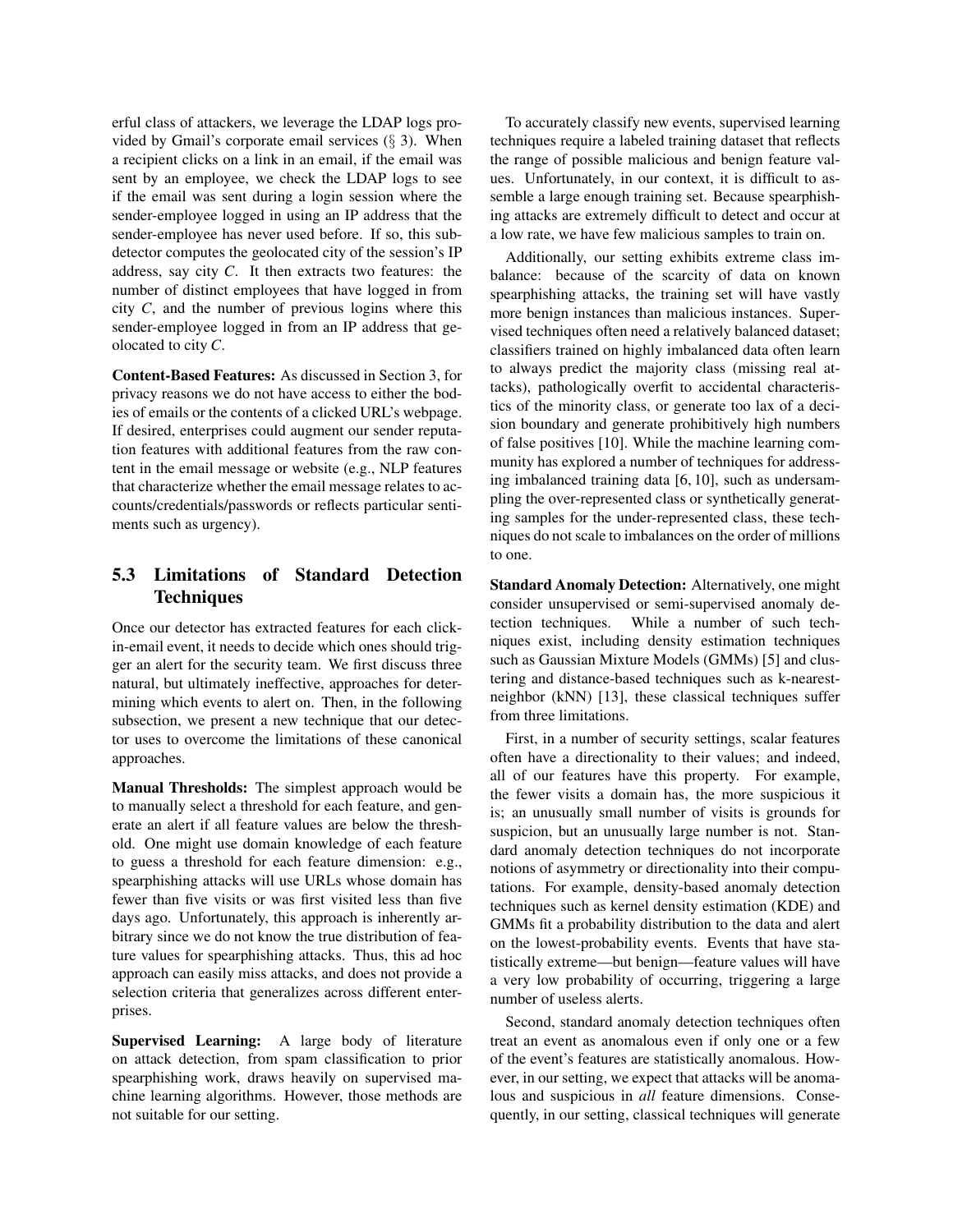erful class of attackers, we leverage the LDAP logs provided by Gmail's corporate email services  $(\S 3)$ . When a recipient clicks on a link in an email, if the email was sent by an employee, we check the LDAP logs to see if the email was sent during a login session where the sender-employee logged in using an IP address that the sender-employee has never used before. If so, this subdetector computes the geolocated city of the session's IP address, say city *C*. It then extracts two features: the number of distinct employees that have logged in from city *C*, and the number of previous logins where this sender-employee logged in from an IP address that geolocated to city *C*.

Content-Based Features: As discussed in Section 3, for privacy reasons we do not have access to either the bodies of emails or the contents of a clicked URL's webpage. If desired, enterprises could augment our sender reputation features with additional features from the raw content in the email message or website (e.g., NLP features that characterize whether the email message relates to accounts/credentials/passwords or reflects particular sentiments such as urgency).

# 5.3 Limitations of Standard Detection **Techniques**

Once our detector has extracted features for each clickin-email event, it needs to decide which ones should trigger an alert for the security team. We first discuss three natural, but ultimately ineffective, approaches for determining which events to alert on. Then, in the following subsection, we present a new technique that our detector uses to overcome the limitations of these canonical approaches.

Manual Thresholds: The simplest approach would be to manually select a threshold for each feature, and generate an alert if all feature values are below the threshold. One might use domain knowledge of each feature to guess a threshold for each feature dimension: e.g., spearphishing attacks will use URLs whose domain has fewer than five visits or was first visited less than five days ago. Unfortunately, this approach is inherently arbitrary since we do not know the true distribution of feature values for spearphishing attacks. Thus, this ad hoc approach can easily miss attacks, and does not provide a selection criteria that generalizes across different enterprises.

Supervised Learning: A large body of literature on attack detection, from spam classification to prior spearphishing work, draws heavily on supervised machine learning algorithms. However, those methods are not suitable for our setting.

To accurately classify new events, supervised learning techniques require a labeled training dataset that reflects the range of possible malicious and benign feature values. Unfortunately, in our context, it is difficult to assemble a large enough training set. Because spearphishing attacks are extremely difficult to detect and occur at a low rate, we have few malicious samples to train on.

Additionally, our setting exhibits extreme class imbalance: because of the scarcity of data on known spearphishing attacks, the training set will have vastly more benign instances than malicious instances. Supervised techniques often need a relatively balanced dataset; classifiers trained on highly imbalanced data often learn to always predict the majority class (missing real attacks), pathologically overfit to accidental characteristics of the minority class, or generate too lax of a decision boundary and generate prohibitively high numbers of false positives [10]. While the machine learning community has explored a number of techniques for addressing imbalanced training data [6, 10], such as undersampling the over-represented class or synthetically generating samples for the under-represented class, these techniques do not scale to imbalances on the order of millions to one.

Standard Anomaly Detection: Alternatively, one might consider unsupervised or semi-supervised anomaly detection techniques. While a number of such techniques exist, including density estimation techniques such as Gaussian Mixture Models (GMMs) [5] and clustering and distance-based techniques such as k-nearestneighbor (kNN) [13], these classical techniques suffer from three limitations.

First, in a number of security settings, scalar features often have a directionality to their values; and indeed, all of our features have this property. For example, the fewer visits a domain has, the more suspicious it is; an unusually small number of visits is grounds for suspicion, but an unusually large number is not. Standard anomaly detection techniques do not incorporate notions of asymmetry or directionality into their computations. For example, density-based anomaly detection techniques such as kernel density estimation (KDE) and GMMs fit a probability distribution to the data and alert on the lowest-probability events. Events that have statistically extreme—but benign—feature values will have a very low probability of occurring, triggering a large number of useless alerts.

Second, standard anomaly detection techniques often treat an event as anomalous even if only one or a few of the event's features are statistically anomalous. However, in our setting, we expect that attacks will be anomalous and suspicious in *all* feature dimensions. Consequently, in our setting, classical techniques will generate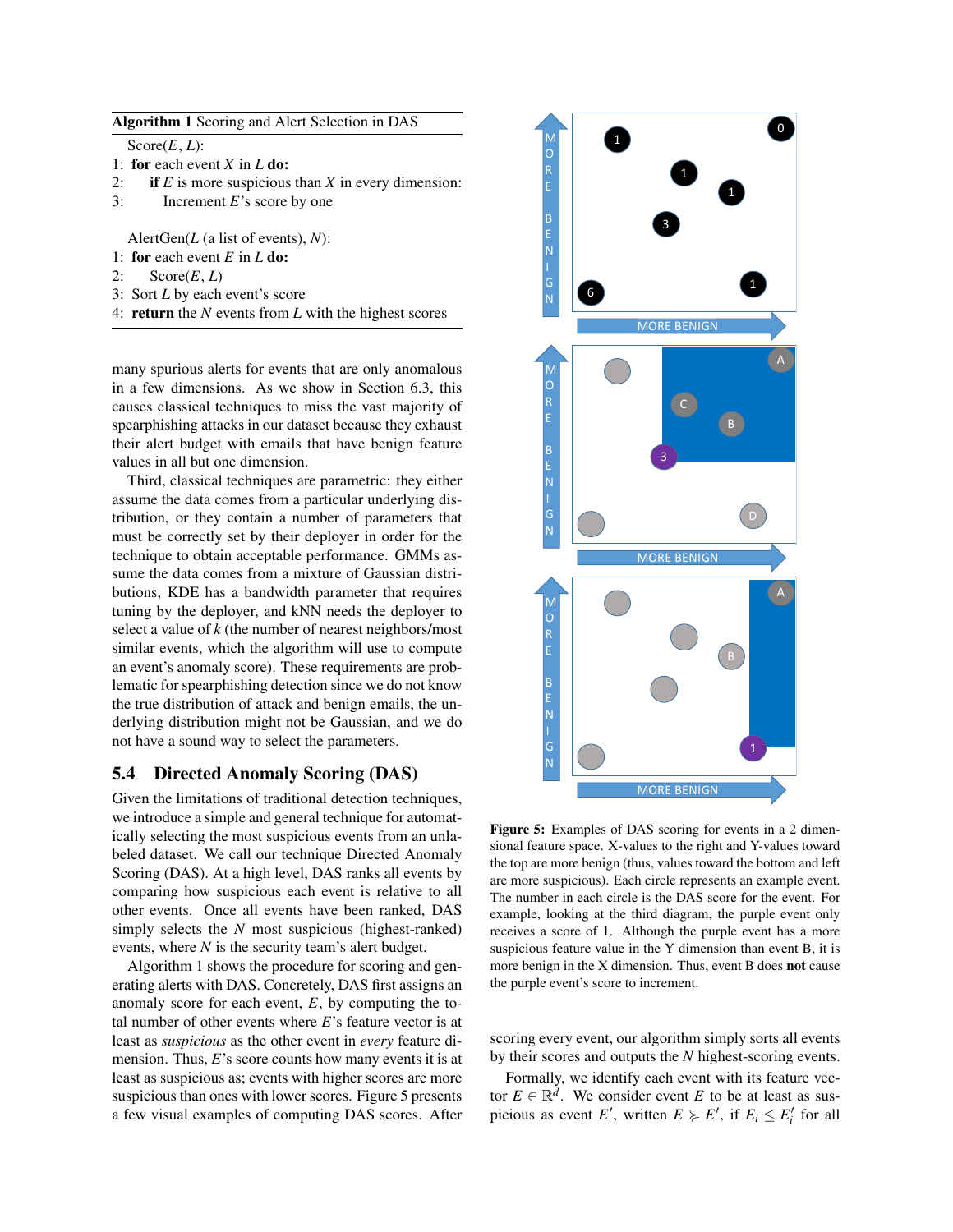$Score(E, L)$ :

- 1: for each event *X* in *L* do:
- 2: if  $E$  is more suspicious than  $X$  in every dimension:
- 3: Increment *E*'s score by one

AlertGen(*L* (a list of events), *N*):

- 1: for each event *E* in *L* do:
- 2:  $Score(E, L)$
- 3: Sort *L* by each event's score
- 4: return the *N* events from *L* with the highest scores

many spurious alerts for events that are only anomalous in a few dimensions. As we show in Section 6.3, this causes classical techniques to miss the vast majority of spearphishing attacks in our dataset because they exhaust their alert budget with emails that have benign feature values in all but one dimension.

Third, classical techniques are parametric: they either assume the data comes from a particular underlying distribution, or they contain a number of parameters that must be correctly set by their deployer in order for the technique to obtain acceptable performance. GMMs assume the data comes from a mixture of Gaussian distributions, KDE has a bandwidth parameter that requires tuning by the deployer, and kNN needs the deployer to select a value of *k* (the number of nearest neighbors/most similar events, which the algorithm will use to compute an event's anomaly score). These requirements are problematic for spearphishing detection since we do not know the true distribution of attack and benign emails, the underlying distribution might not be Gaussian, and we do not have a sound way to select the parameters.

### 5.4 Directed Anomaly Scoring (DAS)

Given the limitations of traditional detection techniques, we introduce a simple and general technique for automatically selecting the most suspicious events from an unlabeled dataset. We call our technique Directed Anomaly Scoring (DAS). At a high level, DAS ranks all events by comparing how suspicious each event is relative to all other events. Once all events have been ranked, DAS simply selects the *N* most suspicious (highest-ranked) events, where *N* is the security team's alert budget.

Algorithm 1 shows the procedure for scoring and generating alerts with DAS. Concretely, DAS first assigns an anomaly score for each event, *E*, by computing the total number of other events where *E*'s feature vector is at least as *suspicious* as the other event in *every* feature dimension. Thus, *E*'s score counts how many events it is at least as suspicious as; events with higher scores are more suspicious than ones with lower scores. Figure 5 presents a few visual examples of computing DAS scores. After



Figure 5: Examples of DAS scoring for events in a 2 dimensional feature space. X-values to the right and Y-values toward the top are more benign (thus, values toward the bottom and left are more suspicious). Each circle represents an example event. The number in each circle is the DAS score for the event. For example, looking at the third diagram, the purple event only receives a score of 1. Although the purple event has a more suspicious feature value in the Y dimension than event B, it is more benign in the X dimension. Thus, event B does not cause the purple event's score to increment.

scoring every event, our algorithm simply sorts all events by their scores and outputs the *N* highest-scoring events.

Formally, we identify each event with its feature vector  $E \in \mathbb{R}^d$ . We consider event *E* to be at least as suspicious as event *E'*, written  $E \ge E'$ , if  $E_i \le E'_i$  for all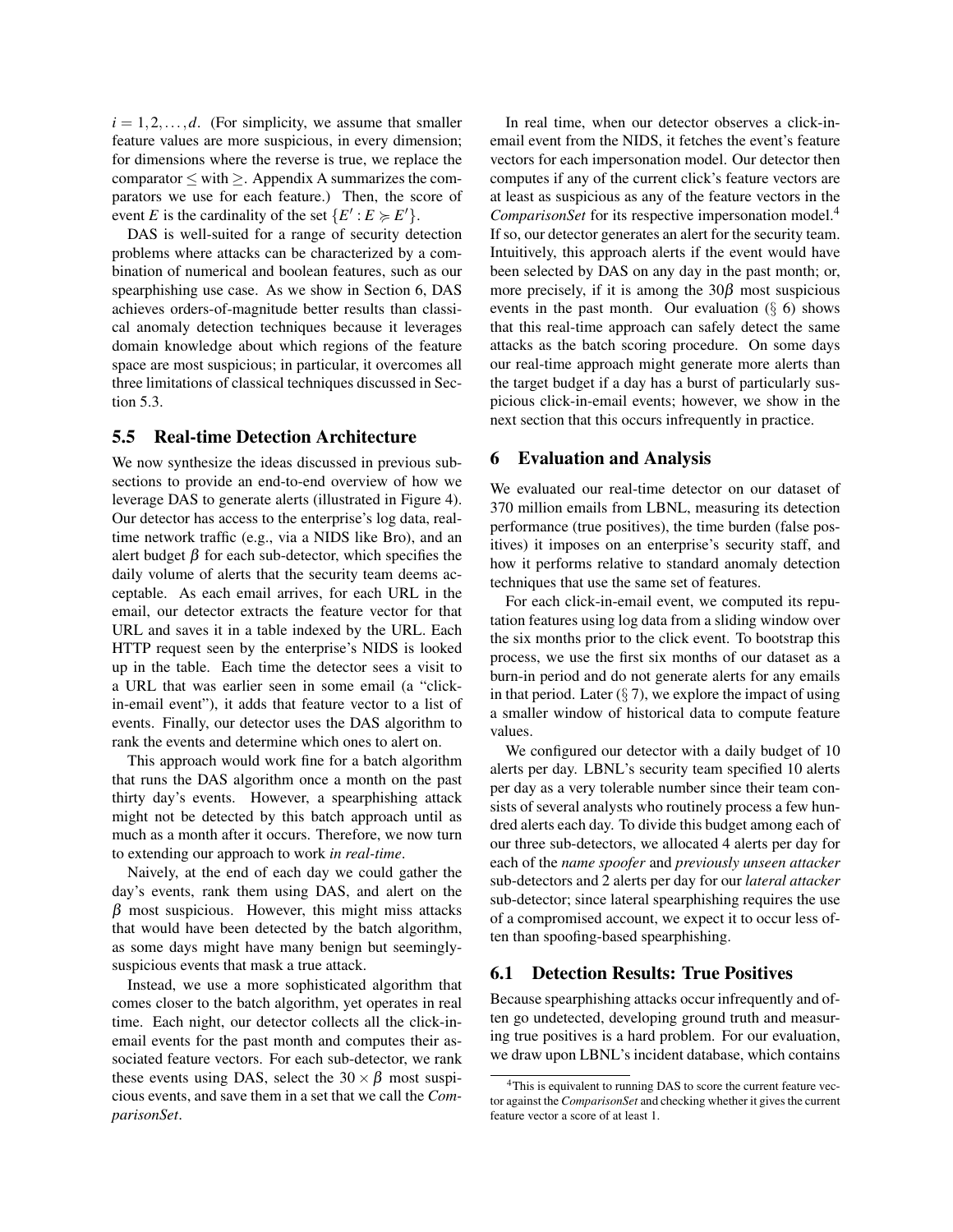$i = 1, 2, \ldots, d$ . (For simplicity, we assume that smaller feature values are more suspicious, in every dimension; for dimensions where the reverse is true, we replace the comparator  $\leq$  with  $\geq$ . Appendix A summarizes the comparators we use for each feature.) Then, the score of event *E* is the cardinality of the set  $\{E': E \succ E'\}.$ 

DAS is well-suited for a range of security detection problems where attacks can be characterized by a combination of numerical and boolean features, such as our spearphishing use case. As we show in Section 6, DAS achieves orders-of-magnitude better results than classical anomaly detection techniques because it leverages domain knowledge about which regions of the feature space are most suspicious; in particular, it overcomes all three limitations of classical techniques discussed in Section 5.3.

### 5.5 Real-time Detection Architecture

We now synthesize the ideas discussed in previous subsections to provide an end-to-end overview of how we leverage DAS to generate alerts (illustrated in Figure 4). Our detector has access to the enterprise's log data, realtime network traffic (e.g., via a NIDS like Bro), and an alert budget  $β$  for each sub-detector, which specifies the daily volume of alerts that the security team deems acceptable. As each email arrives, for each URL in the email, our detector extracts the feature vector for that URL and saves it in a table indexed by the URL. Each HTTP request seen by the enterprise's NIDS is looked up in the table. Each time the detector sees a visit to a URL that was earlier seen in some email (a "clickin-email event"), it adds that feature vector to a list of events. Finally, our detector uses the DAS algorithm to rank the events and determine which ones to alert on.

This approach would work fine for a batch algorithm that runs the DAS algorithm once a month on the past thirty day's events. However, a spearphishing attack might not be detected by this batch approach until as much as a month after it occurs. Therefore, we now turn to extending our approach to work *in real-time*.

Naively, at the end of each day we could gather the day's events, rank them using DAS, and alert on the  $\beta$  most suspicious. However, this might miss attacks that would have been detected by the batch algorithm, as some days might have many benign but seeminglysuspicious events that mask a true attack.

Instead, we use a more sophisticated algorithm that comes closer to the batch algorithm, yet operates in real time. Each night, our detector collects all the click-inemail events for the past month and computes their associated feature vectors. For each sub-detector, we rank these events using DAS, select the  $30 \times \beta$  most suspicious events, and save them in a set that we call the *ComparisonSet*.

In real time, when our detector observes a click-inemail event from the NIDS, it fetches the event's feature vectors for each impersonation model. Our detector then computes if any of the current click's feature vectors are at least as suspicious as any of the feature vectors in the *ComparisonSet* for its respective impersonation model.<sup>4</sup> If so, our detector generates an alert for the security team. Intuitively, this approach alerts if the event would have been selected by DAS on any day in the past month; or, more precisely, if it is among the  $30\beta$  most suspicious events in the past month. Our evaluation  $(\S 6)$  shows that this real-time approach can safely detect the same attacks as the batch scoring procedure. On some days our real-time approach might generate more alerts than the target budget if a day has a burst of particularly suspicious click-in-email events; however, we show in the next section that this occurs infrequently in practice.

### 6 Evaluation and Analysis

We evaluated our real-time detector on our dataset of 370 million emails from LBNL, measuring its detection performance (true positives), the time burden (false positives) it imposes on an enterprise's security staff, and how it performs relative to standard anomaly detection techniques that use the same set of features.

For each click-in-email event, we computed its reputation features using log data from a sliding window over the six months prior to the click event. To bootstrap this process, we use the first six months of our dataset as a burn-in period and do not generate alerts for any emails in that period. Later  $(\S 7)$ , we explore the impact of using a smaller window of historical data to compute feature values.

We configured our detector with a daily budget of 10 alerts per day. LBNL's security team specified 10 alerts per day as a very tolerable number since their team consists of several analysts who routinely process a few hundred alerts each day. To divide this budget among each of our three sub-detectors, we allocated 4 alerts per day for each of the *name spoofer* and *previously unseen attacker* sub-detectors and 2 alerts per day for our *lateral attacker* sub-detector; since lateral spearphishing requires the use of a compromised account, we expect it to occur less often than spoofing-based spearphishing.

### 6.1 Detection Results: True Positives

Because spearphishing attacks occur infrequently and often go undetected, developing ground truth and measuring true positives is a hard problem. For our evaluation, we draw upon LBNL's incident database, which contains

<sup>&</sup>lt;sup>4</sup>This is equivalent to running DAS to score the current feature vector against the *ComparisonSet* and checking whether it gives the current feature vector a score of at least 1.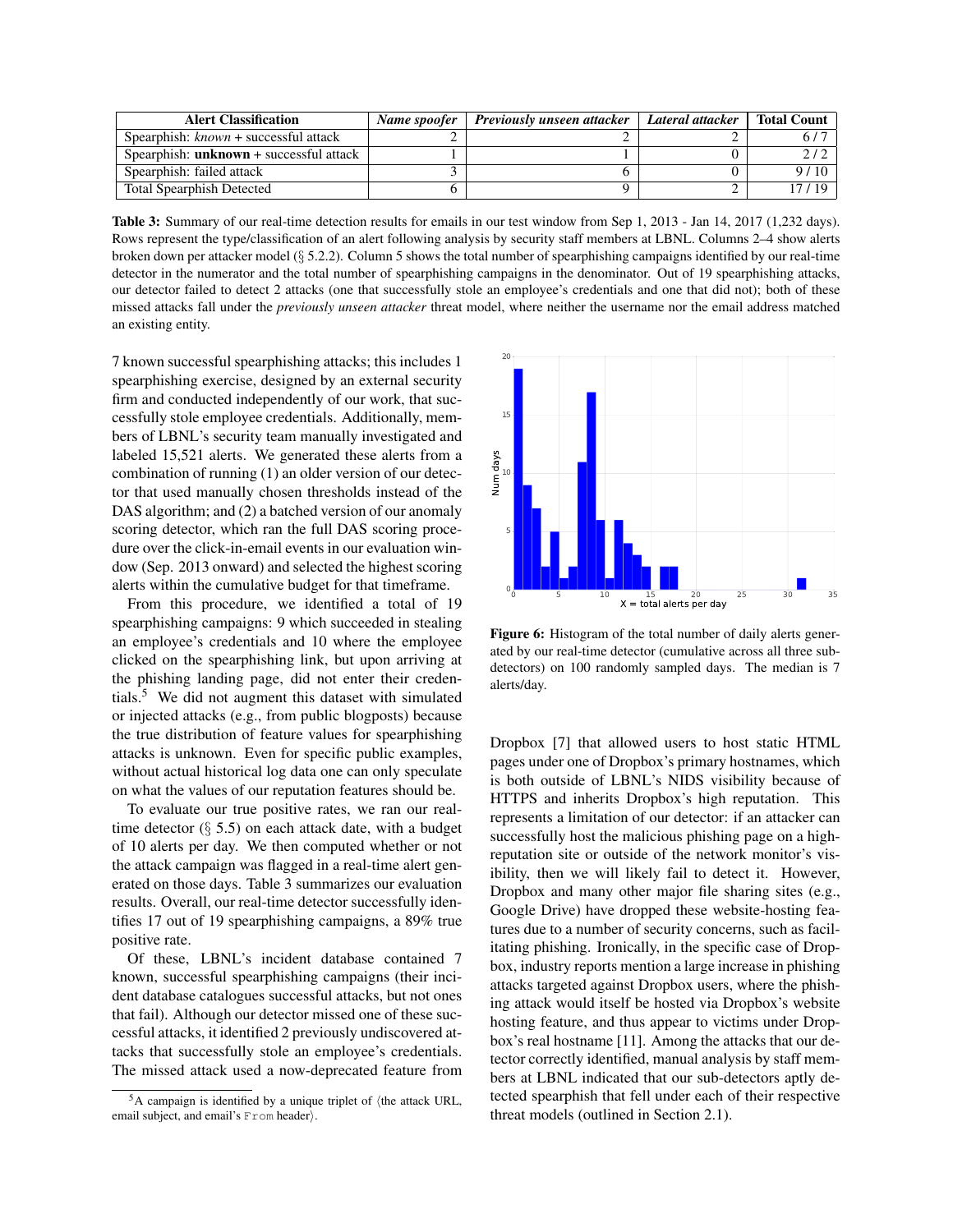| <b>Alert Classification</b>               | Name spoofer   Previously unseen attacker | Lateral attacker | <b>Total Count</b> |
|-------------------------------------------|-------------------------------------------|------------------|--------------------|
| Spearphish: known + successful attack     |                                           |                  |                    |
| Spearphish: $unknown + successful$ attack |                                           |                  |                    |
| Spearphish: failed attack                 |                                           |                  | 9/10               |
| <b>Total Spearphish Detected</b>          |                                           |                  | 17 / 10            |

Table 3: Summary of our real-time detection results for emails in our test window from Sep 1, 2013 - Jan 14, 2017 (1,232 days). Rows represent the type/classification of an alert following analysis by security staff members at LBNL. Columns 2–4 show alerts broken down per attacker model (§ 5.2.2). Column 5 shows the total number of spearphishing campaigns identified by our real-time detector in the numerator and the total number of spearphishing campaigns in the denominator. Out of 19 spearphishing attacks, our detector failed to detect 2 attacks (one that successfully stole an employee's credentials and one that did not); both of these missed attacks fall under the *previously unseen attacker* threat model, where neither the username nor the email address matched an existing entity.

7 known successful spearphishing attacks; this includes 1 spearphishing exercise, designed by an external security firm and conducted independently of our work, that successfully stole employee credentials. Additionally, members of LBNL's security team manually investigated and labeled 15,521 alerts. We generated these alerts from a combination of running (1) an older version of our detector that used manually chosen thresholds instead of the DAS algorithm; and (2) a batched version of our anomaly scoring detector, which ran the full DAS scoring procedure over the click-in-email events in our evaluation window (Sep. 2013 onward) and selected the highest scoring alerts within the cumulative budget for that timeframe.

From this procedure, we identified a total of 19 spearphishing campaigns: 9 which succeeded in stealing an employee's credentials and 10 where the employee clicked on the spearphishing link, but upon arriving at the phishing landing page, did not enter their credentials.<sup>5</sup> We did not augment this dataset with simulated or injected attacks (e.g., from public blogposts) because the true distribution of feature values for spearphishing attacks is unknown. Even for specific public examples, without actual historical log data one can only speculate on what the values of our reputation features should be.

To evaluate our true positive rates, we ran our realtime detector  $(\S 5.5)$  on each attack date, with a budget of 10 alerts per day. We then computed whether or not the attack campaign was flagged in a real-time alert generated on those days. Table 3 summarizes our evaluation results. Overall, our real-time detector successfully identifies 17 out of 19 spearphishing campaigns, a 89% true positive rate.

Of these, LBNL's incident database contained 7 known, successful spearphishing campaigns (their incident database catalogues successful attacks, but not ones that fail). Although our detector missed one of these successful attacks, it identified 2 previously undiscovered attacks that successfully stole an employee's credentials. The missed attack used a now-deprecated feature from



Figure 6: Histogram of the total number of daily alerts generated by our real-time detector (cumulative across all three subdetectors) on 100 randomly sampled days. The median is 7 alerts/day.

Dropbox [7] that allowed users to host static HTML pages under one of Dropbox's primary hostnames, which is both outside of LBNL's NIDS visibility because of HTTPS and inherits Dropbox's high reputation. This represents a limitation of our detector: if an attacker can successfully host the malicious phishing page on a highreputation site or outside of the network monitor's visibility, then we will likely fail to detect it. However, Dropbox and many other major file sharing sites (e.g., Google Drive) have dropped these website-hosting features due to a number of security concerns, such as facilitating phishing. Ironically, in the specific case of Dropbox, industry reports mention a large increase in phishing attacks targeted against Dropbox users, where the phishing attack would itself be hosted via Dropbox's website hosting feature, and thus appear to victims under Dropbox's real hostname [11]. Among the attacks that our detector correctly identified, manual analysis by staff members at LBNL indicated that our sub-detectors aptly detected spearphish that fell under each of their respective threat models (outlined in Section 2.1).

 $5A$  campaign is identified by a unique triplet of  $\langle$ the attack URL, email subject, and email's  $From header$ .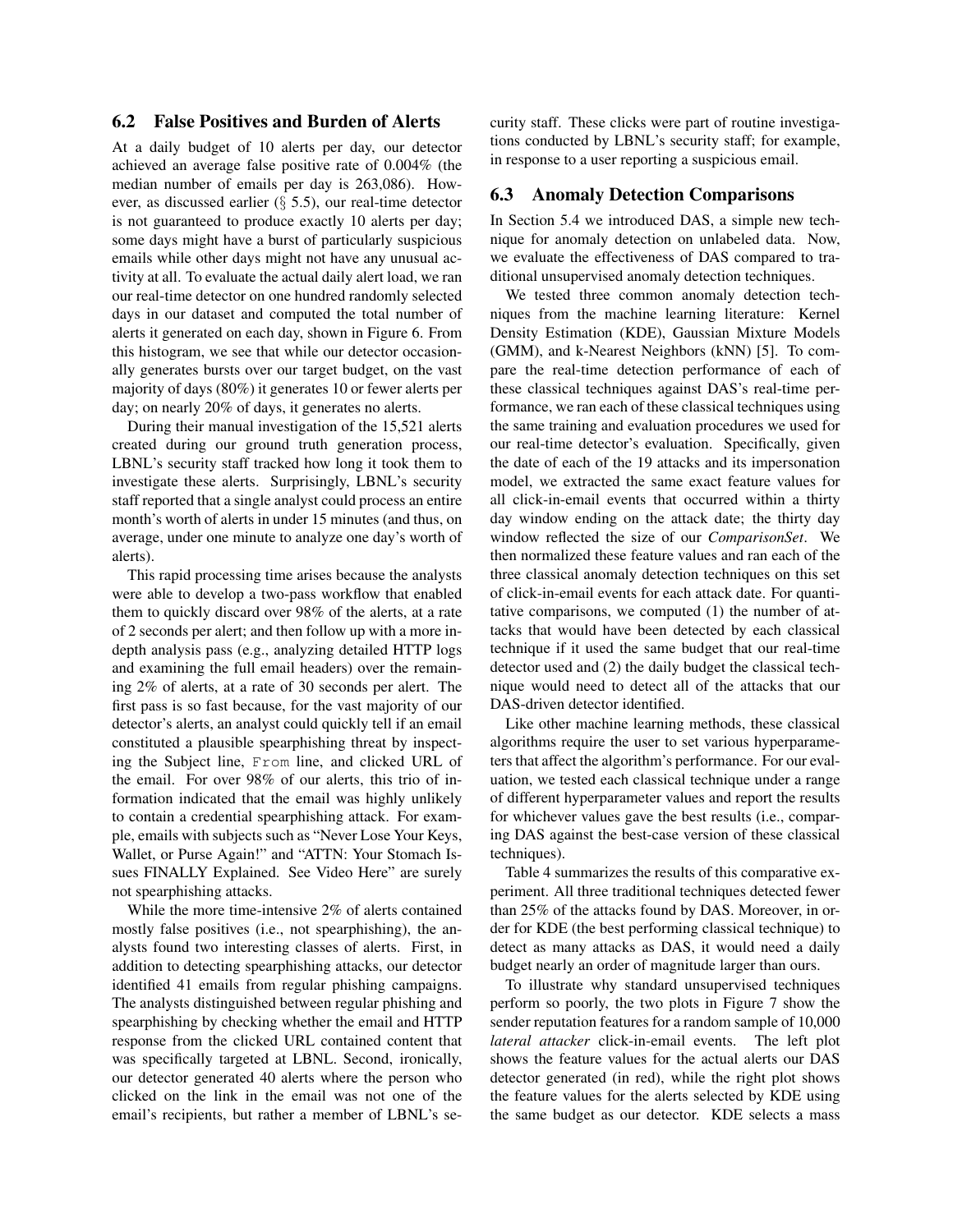### 6.2 False Positives and Burden of Alerts

At a daily budget of 10 alerts per day, our detector achieved an average false positive rate of 0.004% (the median number of emails per day is 263,086). However, as discussed earlier (§ 5.5), our real-time detector is not guaranteed to produce exactly 10 alerts per day; some days might have a burst of particularly suspicious emails while other days might not have any unusual activity at all. To evaluate the actual daily alert load, we ran our real-time detector on one hundred randomly selected days in our dataset and computed the total number of alerts it generated on each day, shown in Figure 6. From this histogram, we see that while our detector occasionally generates bursts over our target budget, on the vast majority of days (80%) it generates 10 or fewer alerts per day; on nearly 20% of days, it generates no alerts.

During their manual investigation of the 15,521 alerts created during our ground truth generation process, LBNL's security staff tracked how long it took them to investigate these alerts. Surprisingly, LBNL's security staff reported that a single analyst could process an entire month's worth of alerts in under 15 minutes (and thus, on average, under one minute to analyze one day's worth of alerts).

This rapid processing time arises because the analysts were able to develop a two-pass workflow that enabled them to quickly discard over 98% of the alerts, at a rate of 2 seconds per alert; and then follow up with a more indepth analysis pass (e.g., analyzing detailed HTTP logs and examining the full email headers) over the remaining 2% of alerts, at a rate of 30 seconds per alert. The first pass is so fast because, for the vast majority of our detector's alerts, an analyst could quickly tell if an email constituted a plausible spearphishing threat by inspecting the Subject line, From line, and clicked URL of the email. For over 98% of our alerts, this trio of information indicated that the email was highly unlikely to contain a credential spearphishing attack. For example, emails with subjects such as "Never Lose Your Keys, Wallet, or Purse Again!" and "ATTN: Your Stomach Issues FINALLY Explained. See Video Here" are surely not spearphishing attacks.

While the more time-intensive 2% of alerts contained mostly false positives (i.e., not spearphishing), the analysts found two interesting classes of alerts. First, in addition to detecting spearphishing attacks, our detector identified 41 emails from regular phishing campaigns. The analysts distinguished between regular phishing and spearphishing by checking whether the email and HTTP response from the clicked URL contained content that was specifically targeted at LBNL. Second, ironically, our detector generated 40 alerts where the person who clicked on the link in the email was not one of the email's recipients, but rather a member of LBNL's security staff. These clicks were part of routine investigations conducted by LBNL's security staff; for example, in response to a user reporting a suspicious email.

### 6.3 Anomaly Detection Comparisons

In Section 5.4 we introduced DAS, a simple new technique for anomaly detection on unlabeled data. Now, we evaluate the effectiveness of DAS compared to traditional unsupervised anomaly detection techniques.

We tested three common anomaly detection techniques from the machine learning literature: Kernel Density Estimation (KDE), Gaussian Mixture Models (GMM), and k-Nearest Neighbors (kNN) [5]. To compare the real-time detection performance of each of these classical techniques against DAS's real-time performance, we ran each of these classical techniques using the same training and evaluation procedures we used for our real-time detector's evaluation. Specifically, given the date of each of the 19 attacks and its impersonation model, we extracted the same exact feature values for all click-in-email events that occurred within a thirty day window ending on the attack date; the thirty day window reflected the size of our *ComparisonSet*. We then normalized these feature values and ran each of the three classical anomaly detection techniques on this set of click-in-email events for each attack date. For quantitative comparisons, we computed (1) the number of attacks that would have been detected by each classical technique if it used the same budget that our real-time detector used and (2) the daily budget the classical technique would need to detect all of the attacks that our DAS-driven detector identified.

Like other machine learning methods, these classical algorithms require the user to set various hyperparameters that affect the algorithm's performance. For our evaluation, we tested each classical technique under a range of different hyperparameter values and report the results for whichever values gave the best results (i.e., comparing DAS against the best-case version of these classical techniques).

Table 4 summarizes the results of this comparative experiment. All three traditional techniques detected fewer than 25% of the attacks found by DAS. Moreover, in order for KDE (the best performing classical technique) to detect as many attacks as DAS, it would need a daily budget nearly an order of magnitude larger than ours.

To illustrate why standard unsupervised techniques perform so poorly, the two plots in Figure 7 show the sender reputation features for a random sample of 10,000 *lateral attacker* click-in-email events. The left plot shows the feature values for the actual alerts our DAS detector generated (in red), while the right plot shows the feature values for the alerts selected by KDE using the same budget as our detector. KDE selects a mass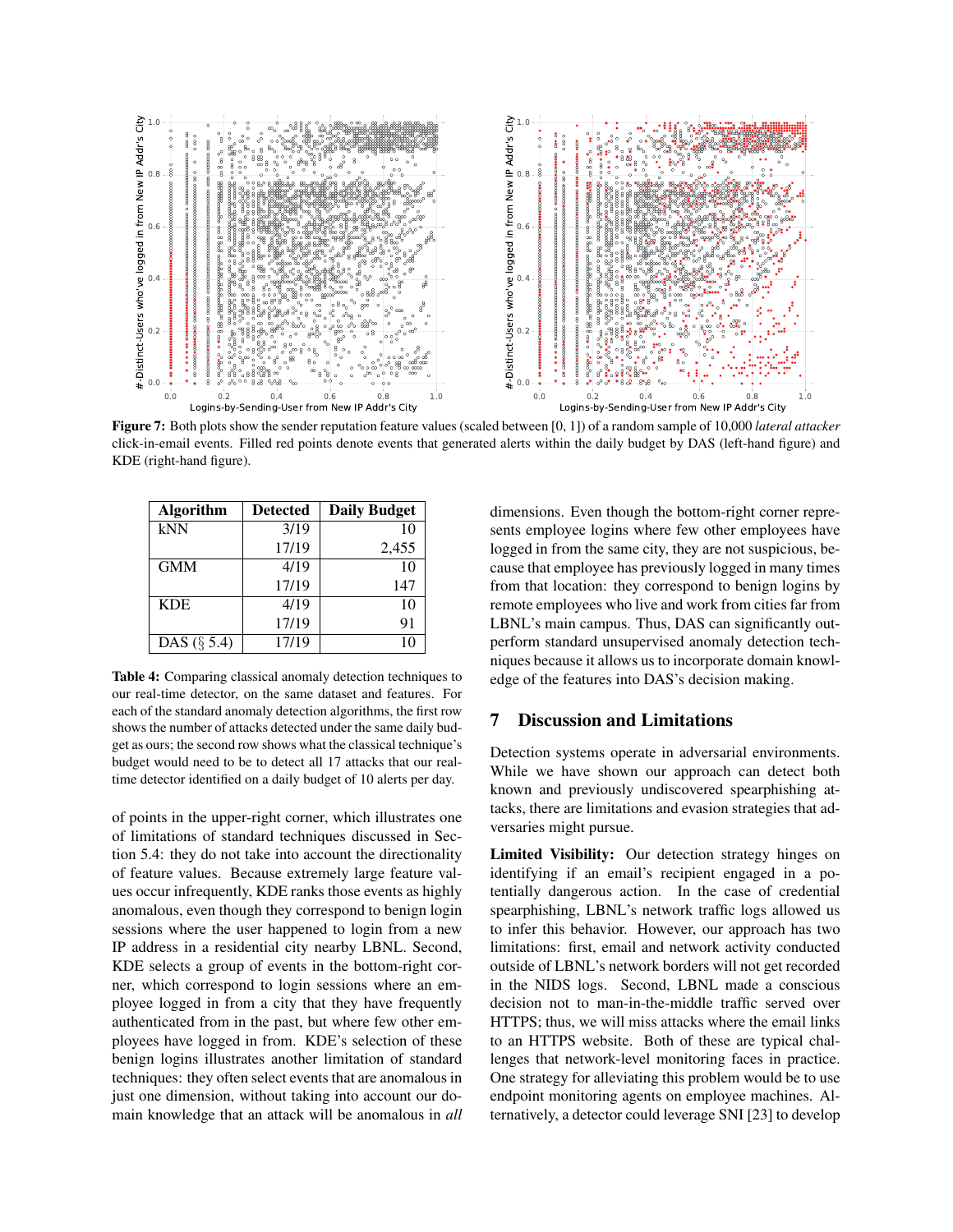

Figure 7: Both plots show the sender reputation feature values (scaled between [0, 1]) of a random sample of 10,000 *lateral attacker* click-in-email events. Filled red points denote events that generated alerts within the daily budget by DAS (left-hand figure) and KDE (right-hand figure).

| <b>Algorithm</b> | <b>Detected</b> | <b>Daily Budget</b> |
|------------------|-----------------|---------------------|
| kNN              | 3/19            | 10                  |
|                  | 17/19           | 2,455               |
| <b>GMM</b>       | 4/19            | 10                  |
|                  | 17/19           | 147                 |
| <b>KDE</b>       | 4/19            | 10                  |
|                  | 17/19           | 91                  |
| DAS $(\S$ 5.4)   | 17/19           | 10                  |

Table 4: Comparing classical anomaly detection techniques to our real-time detector, on the same dataset and features. For each of the standard anomaly detection algorithms, the first row shows the number of attacks detected under the same daily budget as ours; the second row shows what the classical technique's budget would need to be to detect all 17 attacks that our realtime detector identified on a daily budget of 10 alerts per day.

of points in the upper-right corner, which illustrates one of limitations of standard techniques discussed in Section 5.4: they do not take into account the directionality of feature values. Because extremely large feature values occur infrequently, KDE ranks those events as highly anomalous, even though they correspond to benign login sessions where the user happened to login from a new IP address in a residential city nearby LBNL. Second, KDE selects a group of events in the bottom-right corner, which correspond to login sessions where an employee logged in from a city that they have frequently authenticated from in the past, but where few other employees have logged in from. KDE's selection of these benign logins illustrates another limitation of standard techniques: they often select events that are anomalous in just one dimension, without taking into account our domain knowledge that an attack will be anomalous in *all* dimensions. Even though the bottom-right corner represents employee logins where few other employees have logged in from the same city, they are not suspicious, because that employee has previously logged in many times from that location: they correspond to benign logins by remote employees who live and work from cities far from LBNL's main campus. Thus, DAS can significantly outperform standard unsupervised anomaly detection techniques because it allows us to incorporate domain knowledge of the features into DAS's decision making.

### 7 Discussion and Limitations

Detection systems operate in adversarial environments. While we have shown our approach can detect both known and previously undiscovered spearphishing attacks, there are limitations and evasion strategies that adversaries might pursue.

Limited Visibility: Our detection strategy hinges on identifying if an email's recipient engaged in a potentially dangerous action. In the case of credential spearphishing, LBNL's network traffic logs allowed us to infer this behavior. However, our approach has two limitations: first, email and network activity conducted outside of LBNL's network borders will not get recorded in the NIDS logs. Second, LBNL made a conscious decision not to man-in-the-middle traffic served over HTTPS; thus, we will miss attacks where the email links to an HTTPS website. Both of these are typical challenges that network-level monitoring faces in practice. One strategy for alleviating this problem would be to use endpoint monitoring agents on employee machines. Alternatively, a detector could leverage SNI [23] to develop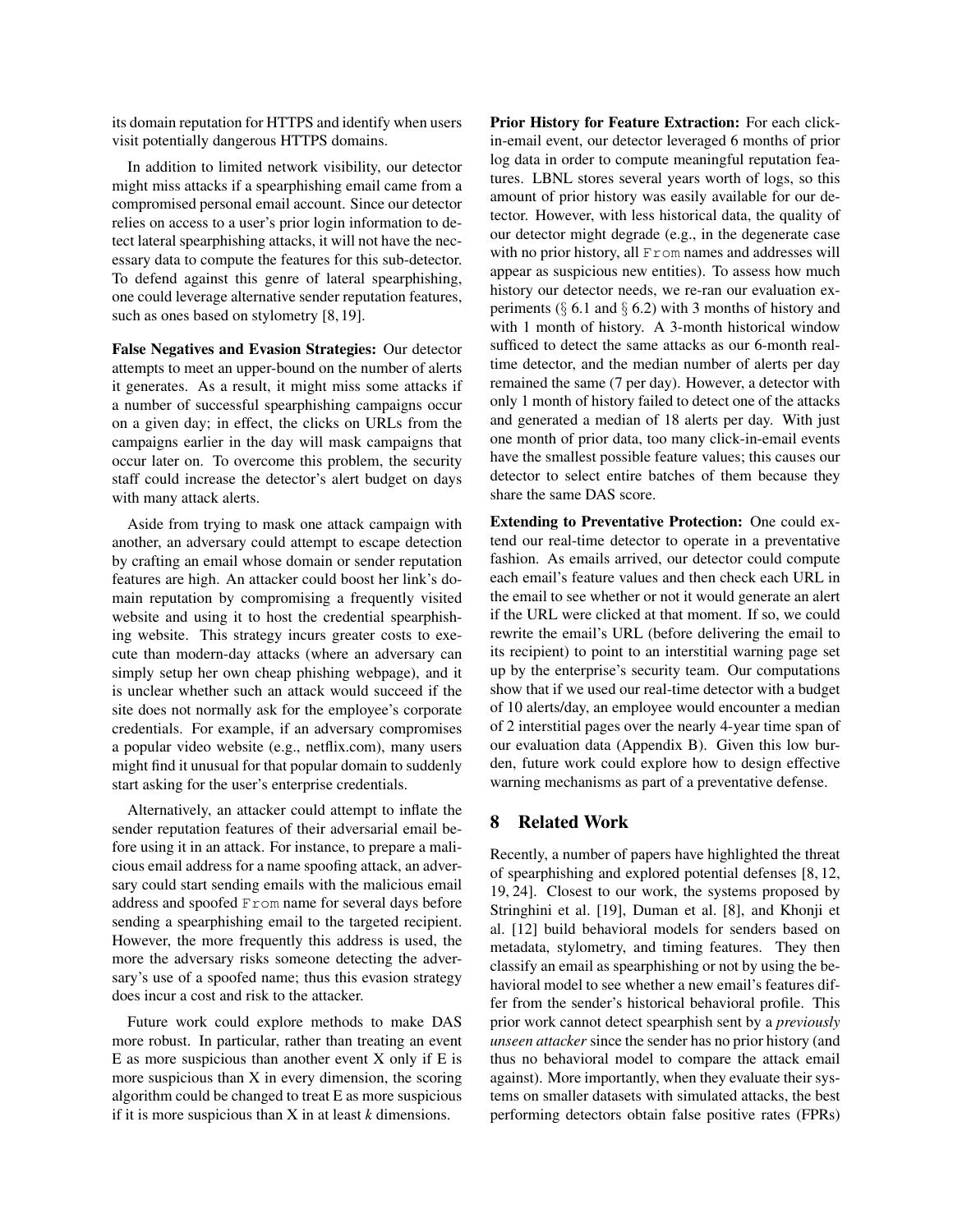its domain reputation for HTTPS and identify when users visit potentially dangerous HTTPS domains.

In addition to limited network visibility, our detector might miss attacks if a spearphishing email came from a compromised personal email account. Since our detector relies on access to a user's prior login information to detect lateral spearphishing attacks, it will not have the necessary data to compute the features for this sub-detector. To defend against this genre of lateral spearphishing, one could leverage alternative sender reputation features, such as ones based on stylometry [8, 19].

False Negatives and Evasion Strategies: Our detector attempts to meet an upper-bound on the number of alerts it generates. As a result, it might miss some attacks if a number of successful spearphishing campaigns occur on a given day; in effect, the clicks on URLs from the campaigns earlier in the day will mask campaigns that occur later on. To overcome this problem, the security staff could increase the detector's alert budget on days with many attack alerts.

Aside from trying to mask one attack campaign with another, an adversary could attempt to escape detection by crafting an email whose domain or sender reputation features are high. An attacker could boost her link's domain reputation by compromising a frequently visited website and using it to host the credential spearphishing website. This strategy incurs greater costs to execute than modern-day attacks (where an adversary can simply setup her own cheap phishing webpage), and it is unclear whether such an attack would succeed if the site does not normally ask for the employee's corporate credentials. For example, if an adversary compromises a popular video website (e.g., netflix.com), many users might find it unusual for that popular domain to suddenly start asking for the user's enterprise credentials.

Alternatively, an attacker could attempt to inflate the sender reputation features of their adversarial email before using it in an attack. For instance, to prepare a malicious email address for a name spoofing attack, an adversary could start sending emails with the malicious email address and spoofed From name for several days before sending a spearphishing email to the targeted recipient. However, the more frequently this address is used, the more the adversary risks someone detecting the adversary's use of a spoofed name; thus this evasion strategy does incur a cost and risk to the attacker.

Future work could explore methods to make DAS more robust. In particular, rather than treating an event E as more suspicious than another event X only if E is more suspicious than X in every dimension, the scoring algorithm could be changed to treat E as more suspicious if it is more suspicious than X in at least *k* dimensions.

Prior History for Feature Extraction: For each clickin-email event, our detector leveraged 6 months of prior log data in order to compute meaningful reputation features. LBNL stores several years worth of logs, so this amount of prior history was easily available for our detector. However, with less historical data, the quality of our detector might degrade (e.g., in the degenerate case with no prior history, all From names and addresses will appear as suspicious new entities). To assess how much history our detector needs, we re-ran our evaluation experiments  $(\S$  6.1 and  $\S$  6.2) with 3 months of history and with 1 month of history. A 3-month historical window sufficed to detect the same attacks as our 6-month realtime detector, and the median number of alerts per day remained the same (7 per day). However, a detector with only 1 month of history failed to detect one of the attacks and generated a median of 18 alerts per day. With just one month of prior data, too many click-in-email events have the smallest possible feature values; this causes our detector to select entire batches of them because they share the same DAS score.

Extending to Preventative Protection: One could extend our real-time detector to operate in a preventative fashion. As emails arrived, our detector could compute each email's feature values and then check each URL in the email to see whether or not it would generate an alert if the URL were clicked at that moment. If so, we could rewrite the email's URL (before delivering the email to its recipient) to point to an interstitial warning page set up by the enterprise's security team. Our computations show that if we used our real-time detector with a budget of 10 alerts/day, an employee would encounter a median of 2 interstitial pages over the nearly 4-year time span of our evaluation data (Appendix B). Given this low burden, future work could explore how to design effective warning mechanisms as part of a preventative defense.

### 8 Related Work

Recently, a number of papers have highlighted the threat of spearphishing and explored potential defenses [8, 12, 19, 24]. Closest to our work, the systems proposed by Stringhini et al. [19], Duman et al. [8], and Khonji et al. [12] build behavioral models for senders based on metadata, stylometry, and timing features. They then classify an email as spearphishing or not by using the behavioral model to see whether a new email's features differ from the sender's historical behavioral profile. This prior work cannot detect spearphish sent by a *previously unseen attacker* since the sender has no prior history (and thus no behavioral model to compare the attack email against). More importantly, when they evaluate their systems on smaller datasets with simulated attacks, the best performing detectors obtain false positive rates (FPRs)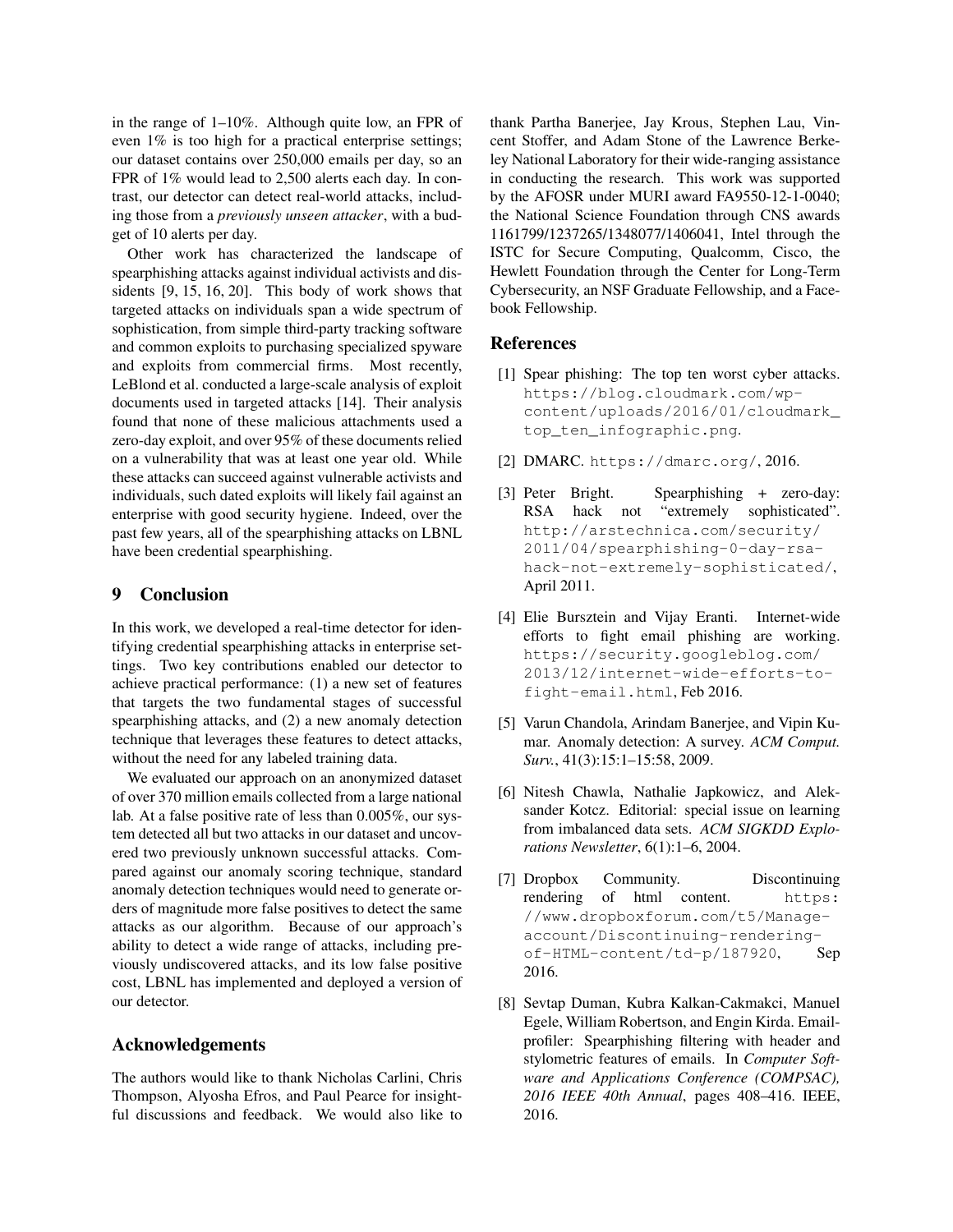in the range of 1–10%. Although quite low, an FPR of even 1% is too high for a practical enterprise settings; our dataset contains over 250,000 emails per day, so an FPR of 1% would lead to 2,500 alerts each day. In contrast, our detector can detect real-world attacks, including those from a *previously unseen attacker*, with a budget of 10 alerts per day.

Other work has characterized the landscape of spearphishing attacks against individual activists and dissidents [9, 15, 16, 20]. This body of work shows that targeted attacks on individuals span a wide spectrum of sophistication, from simple third-party tracking software and common exploits to purchasing specialized spyware and exploits from commercial firms. Most recently, LeBlond et al. conducted a large-scale analysis of exploit documents used in targeted attacks [14]. Their analysis found that none of these malicious attachments used a zero-day exploit, and over 95% of these documents relied on a vulnerability that was at least one year old. While these attacks can succeed against vulnerable activists and individuals, such dated exploits will likely fail against an enterprise with good security hygiene. Indeed, over the past few years, all of the spearphishing attacks on LBNL have been credential spearphishing.

### 9 Conclusion

In this work, we developed a real-time detector for identifying credential spearphishing attacks in enterprise settings. Two key contributions enabled our detector to achieve practical performance: (1) a new set of features that targets the two fundamental stages of successful spearphishing attacks, and (2) a new anomaly detection technique that leverages these features to detect attacks, without the need for any labeled training data.

We evaluated our approach on an anonymized dataset of over 370 million emails collected from a large national lab. At a false positive rate of less than 0.005%, our system detected all but two attacks in our dataset and uncovered two previously unknown successful attacks. Compared against our anomaly scoring technique, standard anomaly detection techniques would need to generate orders of magnitude more false positives to detect the same attacks as our algorithm. Because of our approach's ability to detect a wide range of attacks, including previously undiscovered attacks, and its low false positive cost, LBNL has implemented and deployed a version of our detector.

### Acknowledgements

The authors would like to thank Nicholas Carlini, Chris Thompson, Alyosha Efros, and Paul Pearce for insightful discussions and feedback. We would also like to thank Partha Banerjee, Jay Krous, Stephen Lau, Vincent Stoffer, and Adam Stone of the Lawrence Berkeley National Laboratory for their wide-ranging assistance in conducting the research. This work was supported by the AFOSR under MURI award FA9550-12-1-0040; the National Science Foundation through CNS awards 1161799/1237265/1348077/1406041, Intel through the ISTC for Secure Computing, Qualcomm, Cisco, the Hewlett Foundation through the Center for Long-Term Cybersecurity, an NSF Graduate Fellowship, and a Facebook Fellowship.

### References

- [1] Spear phishing: The top ten worst cyber attacks. https://blog.cloudmark.com/wpcontent/uploads/2016/01/cloudmark\_ top\_ten\_infographic.png.
- [2] DMARC. https://dmarc.org/, 2016.
- [3] Peter Bright. Spearphishing + zero-day: RSA hack not "extremely sophisticated". http://arstechnica.com/security/ 2011/04/spearphishing-0-day-rsahack-not-extremely-sophisticated/, April 2011.
- [4] Elie Bursztein and Vijay Eranti. Internet-wide efforts to fight email phishing are working. https://security.googleblog.com/ 2013/12/internet-wide-efforts-tofight-email.html, Feb 2016.
- [5] Varun Chandola, Arindam Banerjee, and Vipin Kumar. Anomaly detection: A survey. *ACM Comput. Surv.*, 41(3):15:1–15:58, 2009.
- [6] Nitesh Chawla, Nathalie Japkowicz, and Aleksander Kotcz. Editorial: special issue on learning from imbalanced data sets. *ACM SIGKDD Explorations Newsletter*, 6(1):1–6, 2004.
- [7] Dropbox Community. Discontinuing rendering of html content. https: //www.dropboxforum.com/t5/Manageaccount/Discontinuing-renderingof-HTML-content/td-p/187920, Sep 2016.
- [8] Sevtap Duman, Kubra Kalkan-Cakmakci, Manuel Egele, William Robertson, and Engin Kirda. Emailprofiler: Spearphishing filtering with header and stylometric features of emails. In *Computer Software and Applications Conference (COMPSAC), 2016 IEEE 40th Annual*, pages 408–416. IEEE, 2016.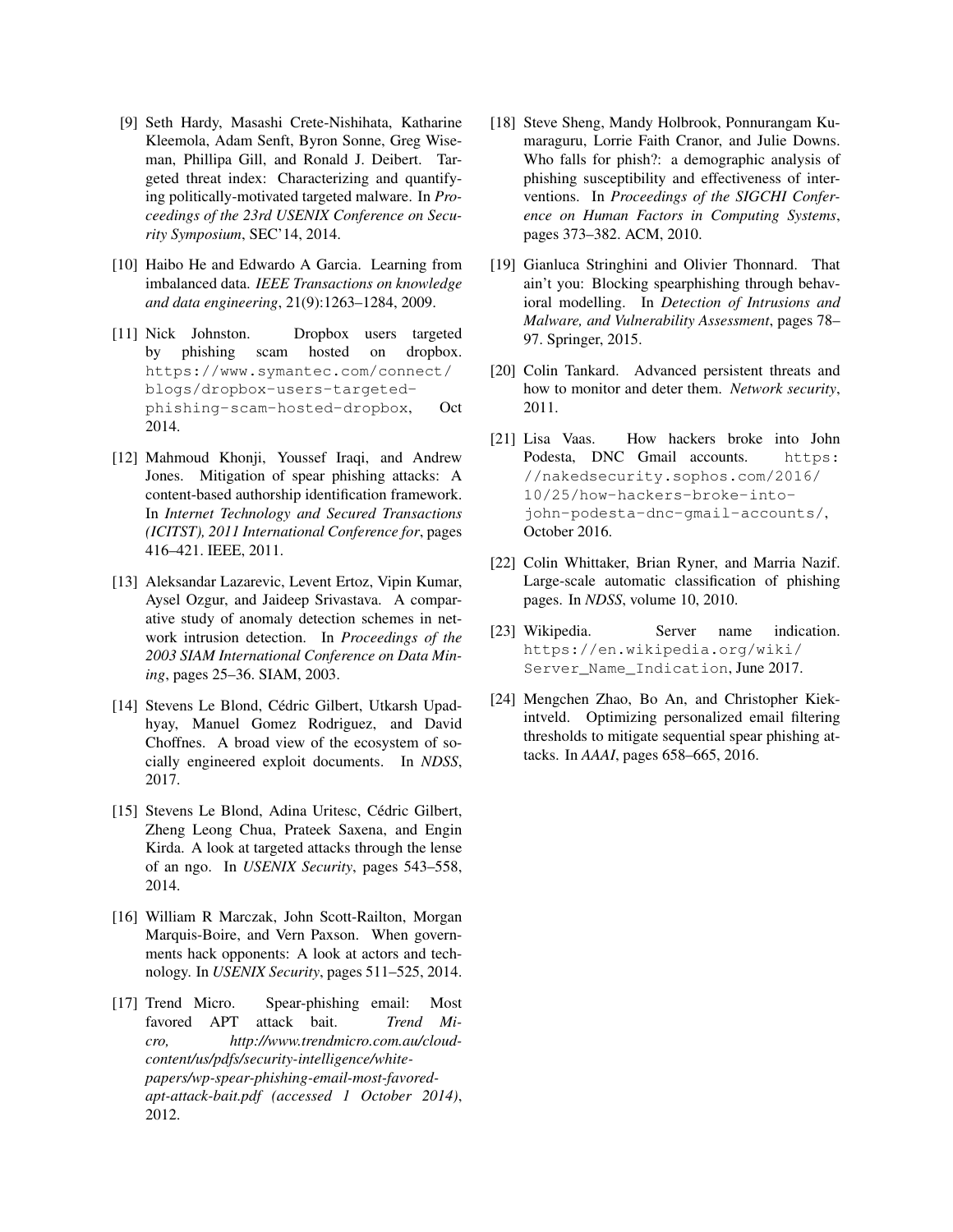- [9] Seth Hardy, Masashi Crete-Nishihata, Katharine Kleemola, Adam Senft, Byron Sonne, Greg Wiseman, Phillipa Gill, and Ronald J. Deibert. Targeted threat index: Characterizing and quantifying politically-motivated targeted malware. In *Proceedings of the 23rd USENIX Conference on Security Symposium*, SEC'14, 2014.
- [10] Haibo He and Edwardo A Garcia. Learning from imbalanced data. *IEEE Transactions on knowledge and data engineering*, 21(9):1263–1284, 2009.
- [11] Nick Johnston. Dropbox users targeted by phishing scam hosted on dropbox. https://www.symantec.com/connect/ blogs/dropbox-users-targetedphishing-scam-hosted-dropbox, Oct 2014.
- [12] Mahmoud Khonji, Youssef Iraqi, and Andrew Jones. Mitigation of spear phishing attacks: A content-based authorship identification framework. In *Internet Technology and Secured Transactions (ICITST), 2011 International Conference for*, pages 416–421. IEEE, 2011.
- [13] Aleksandar Lazarevic, Levent Ertoz, Vipin Kumar, Aysel Ozgur, and Jaideep Srivastava. A comparative study of anomaly detection schemes in network intrusion detection. In *Proceedings of the 2003 SIAM International Conference on Data Mining*, pages 25–36. SIAM, 2003.
- [14] Stevens Le Blond, Cédric Gilbert, Utkarsh Upadhyay, Manuel Gomez Rodriguez, and David Choffnes. A broad view of the ecosystem of socially engineered exploit documents. In *NDSS*, 2017.
- [15] Stevens Le Blond, Adina Uritesc, Cédric Gilbert, Zheng Leong Chua, Prateek Saxena, and Engin Kirda. A look at targeted attacks through the lense of an ngo. In *USENIX Security*, pages 543–558, 2014.
- [16] William R Marczak, John Scott-Railton, Morgan Marquis-Boire, and Vern Paxson. When governments hack opponents: A look at actors and technology. In *USENIX Security*, pages 511–525, 2014.
- [17] Trend Micro. Spear-phishing email: Most favored APT attack bait. *Trend Micro, http://www.trendmicro.com.au/cloudcontent/us/pdfs/security-intelligence/whitepapers/wp-spear-phishing-email-most-favoredapt-attack-bait.pdf (accessed 1 October 2014)*, 2012.
- [18] Steve Sheng, Mandy Holbrook, Ponnurangam Kumaraguru, Lorrie Faith Cranor, and Julie Downs. Who falls for phish?: a demographic analysis of phishing susceptibility and effectiveness of interventions. In *Proceedings of the SIGCHI Conference on Human Factors in Computing Systems*, pages 373–382. ACM, 2010.
- [19] Gianluca Stringhini and Olivier Thonnard. That ain't you: Blocking spearphishing through behavioral modelling. In *Detection of Intrusions and Malware, and Vulnerability Assessment*, pages 78– 97. Springer, 2015.
- [20] Colin Tankard. Advanced persistent threats and how to monitor and deter them. *Network security*, 2011.
- [21] Lisa Vaas. How hackers broke into John Podesta, DNC Gmail accounts. https: //nakedsecurity.sophos.com/2016/ 10/25/how-hackers-broke-intojohn-podesta-dnc-gmail-accounts/, October 2016.
- [22] Colin Whittaker, Brian Ryner, and Marria Nazif. Large-scale automatic classification of phishing pages. In *NDSS*, volume 10, 2010.
- [23] Wikipedia. Server name indication. https://en.wikipedia.org/wiki/ Server\_Name\_Indication, June 2017.
- [24] Mengchen Zhao, Bo An, and Christopher Kiekintveld. Optimizing personalized email filtering thresholds to mitigate sequential spear phishing attacks. In *AAAI*, pages 658–665, 2016.